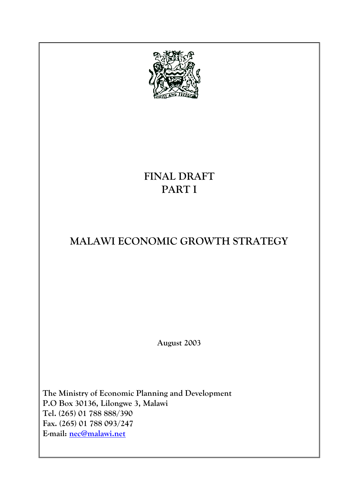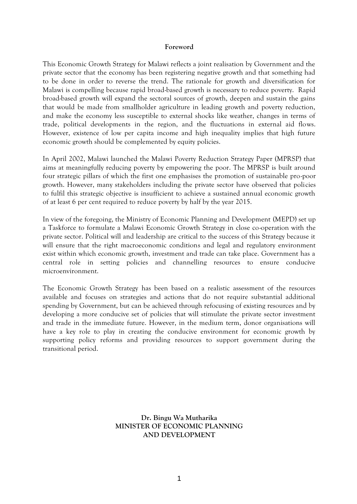#### **Foreword**

This Economic Growth Strategy for Malawi reflects a joint realisation by Government and the private sector that the economy has been registering negative growth and that something had to be done in order to reverse the trend. The rationale for growth and diversification for Malawi is compelling because rapid broad-based growth is necessary to reduce poverty. Rapid broad-based growth will expand the sectoral sources of growth, deepen and sustain the gains that would be made from smallholder agriculture in leading growth and poverty reduction, and make the economy less susceptible to external shocks like weather, changes in terms of trade, political developments in the region, and the fluctuations in external aid flows. However, existence of low per capita income and high inequality implies that high future economic growth should be complemented by equity policies.

In April 2002, Malawi launched the Malawi Poverty Reduction Strategy Paper (MPRSP) that aims at meaningfully reducing poverty by empowering the poor. The MPRSP is built around four strategic pillars of which the first one emphasises the promotion of sustainable pro-poor growth. However, many stakeholders including the private sector have observed that policies to fulfil this strategic objective is insufficient to achieve a sustained annual economic growth of at least 6 per cent required to reduce poverty by half by the year 2015.

In view of the foregoing, the Ministry of Economic Planning and Development (MEPD) set up a Taskforce to formulate a Malawi Economic Growth Strategy in close co-operation with the private sector. Political will and leadership are critical to the success of this Strategy because it will ensure that the right macroeconomic conditions and legal and regulatory environment exist within which economic growth, investment and trade can take place. Government has a central role in setting policies and channelling resources to ensure conducive microenvironment.

The Economic Growth Strategy has been based on a realistic assessment of the resources available and focuses on strategies and actions that do not require substantial additional spending by Government, but can be achieved through refocusing of existing resources and by developing a more conducive set of policies that will stimulate the private sector investment and trade in the immediate future. However, in the medium term, donor organisations will have a key role to play in creating the conducive environment for economic growth by supporting policy reforms and providing resources to support government during the transitional period.

> **Dr. Bingu Wa Mutharika MINISTER OF ECONOMIC PLANNING AND DEVELOPMENT**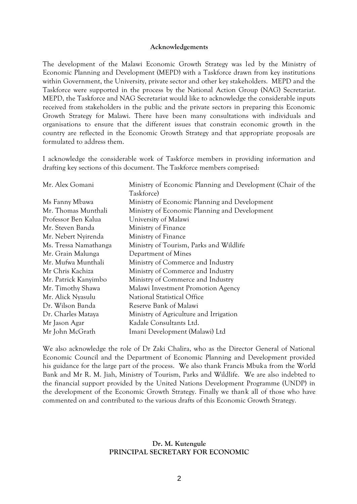#### **Acknowledgements**

The development of the Malawi Economic Growth Strategy was led by the Ministry of Economic Planning and Development (MEPD) with a Taskforce drawn from key institutions within Government, the University, private sector and other key stakeholders. MEPD and the Taskforce were supported in the process by the National Action Group (NAG) Secretariat. MEPD, the Taskforce and NAG Secretariat would like to acknowledge the considerable inputs received from stakeholders in the public and the private sectors in preparing this Economic Growth Strategy for Malawi. There have been many consultations with individuals and organisations to ensure that the different issues that constrain economic growth in the country are reflected in the Economic Growth Strategy and that appropriate proposals are formulated to address them.

I acknowledge the considerable work of Taskforce members in providing information and drafting key sections of this document. The Taskforce members comprised:

| Mr. Alex Gomani       | Ministry of Economic Planning and Development (Chair of the |
|-----------------------|-------------------------------------------------------------|
|                       | Taskforce)                                                  |
| Ms Fanny Mbawa        | Ministry of Economic Planning and Development               |
| Mr. Thomas Munthali   | Ministry of Economic Planning and Development               |
| Professor Ben Kalua   | University of Malawi                                        |
| Mr. Steven Banda      | Ministry of Finance                                         |
| Mr. Nebert Nyirenda   | Ministry of Finance                                         |
| Ms. Tressa Namathanga | Ministry of Tourism, Parks and Wildlife                     |
| Mr. Grain Malunga     | Department of Mines                                         |
| Mr. Mufwa Munthali    | Ministry of Commerce and Industry                           |
| Mr Chris Kachiza      | Ministry of Commerce and Industry                           |
| Mr. Patrick Kanyimbo  | Ministry of Commerce and Industry                           |
| Mr. Timothy Shawa     | Malawi Investment Promotion Agency                          |
| Mr. Alick Nyasulu     | <b>National Statistical Office</b>                          |
| Dr. Wilson Banda      | Reserve Bank of Malawi                                      |
| Dr. Charles Mataya    | Ministry of Agriculture and Irrigation                      |
| Mr Jason Agar         | Kadale Consultants Ltd.                                     |
| Mr John McGrath       | Imani Development (Malawi) Ltd                              |

We also acknowledge the role of Dr Zaki Chalira, who as the Director General of National Economic Council and the Department of Economic Planning and Development provided his guidance for the large part of the process. We also thank Francis Mbuka from the World Bank and Mr R. M. Jiah, Ministry of Tourism, Parks and Wildlife. We are also indebted to the financial support provided by the United Nations Development Programme (UNDP) in the development of the Economic Growth Strategy. Finally we thank all of those who have commented on and contributed to the various drafts of this Economic Growth Strategy.

#### **Dr. M. Kutengule PRINCIPAL SECRETARY FOR ECONOMIC**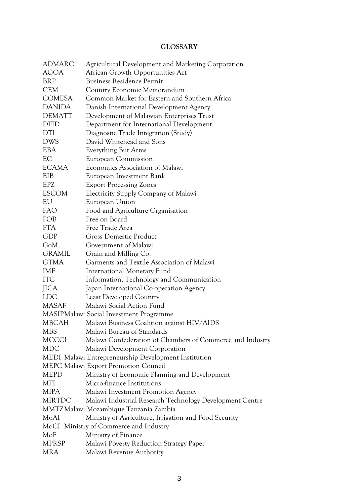## **GLOSSARY**

<span id="page-3-0"></span>

| <b>ADMARC</b> | Agricultural Development and Marketing Corporation        |
|---------------|-----------------------------------------------------------|
| <b>AGOA</b>   | African Growth Opportunities Act                          |
| <b>BRP</b>    | <b>Business Residence Permit</b>                          |
| <b>CEM</b>    | Country Economic Memorandum                               |
| <b>COMESA</b> | Common Market for Eastern and Southern Africa             |
| <b>DANIDA</b> | Danish International Development Agency                   |
| <b>DEMATT</b> | Development of Malawian Enterprises Trust                 |
| <b>DFID</b>   | Department for International Development                  |
| <b>DTI</b>    | Diagnostic Trade Integration (Study)                      |
| <b>DWS</b>    | David Whitehead and Sons                                  |
| <b>EBA</b>    | Everything But Arms                                       |
| EC            | European Commission                                       |
| <b>ECAMA</b>  | Economics Association of Malawi                           |
| EIB           | European Investment Bank                                  |
| <b>EPZ</b>    | <b>Export Processing Zones</b>                            |
| <b>ESCOM</b>  | <b>Electricity Supply Company of Malawi</b>               |
| EU            | European Union                                            |
| <b>FAO</b>    | Food and Agriculture Organisation                         |
| <b>FOB</b>    | Free on Board                                             |
| <b>FTA</b>    | Free Trade Area                                           |
| GDP           | <b>Gross Domestic Product</b>                             |
| GoM           | Government of Malawi                                      |
| <b>GRAMIL</b> | Grain and Milling Co.                                     |
| <b>GTMA</b>   | Garments and Textile Association of Malawi                |
| IMF           | International Monetary Fund                               |
| <b>ITC</b>    | Information, Technology and Communication                 |
| <b>JICA</b>   | Japan International Co-operation Agency                   |
| <b>LDC</b>    | <b>Least Developed Country</b>                            |
| <b>MASAF</b>  | Malawi Social Action Fund                                 |
|               | MASIPMalawi Social Investment Programme                   |
| <b>MBCAH</b>  | Malawi Business Coalition against HIV/AIDS                |
| MBS           | Malawi Bureau of Standards                                |
| <b>MCCCI</b>  | Malawi Confederation of Chambers of Commerce and Industry |
| <b>MDC</b>    | Malawi Development Corporation                            |
|               | MEDI Malawi Entrepreneurship Development Institution      |
|               | MEPC Malawi Export Promotion Council                      |
| <b>MEPD</b>   | Ministry of Economic Planning and Development             |
| MFI           | Micro-finance Institutions                                |
| <b>MIPA</b>   | Malawi Investment Promotion Agency                        |
| <b>MIRTDC</b> | Malawi Industrial Research Technology Development Centre  |
|               | MMTZ Malawi Mozambique Tanzania Zambia                    |
| MoAI          | Ministry of Agriculture, Irrigation and Food Security     |
|               | MoCI Ministry of Commerce and Industry                    |
| MoF           | Ministry of Finance                                       |
| <b>MPRSP</b>  | Malawi Poverty Reduction Strategy Paper                   |
| <b>MRA</b>    | Malawi Revenue Authority                                  |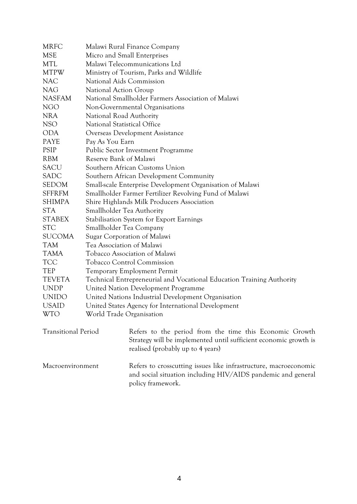| <b>MRFC</b>                | Malawi Rural Finance Company                                                                                                                                     |
|----------------------------|------------------------------------------------------------------------------------------------------------------------------------------------------------------|
| <b>MSE</b>                 | Micro and Small Enterprises                                                                                                                                      |
| <b>MTL</b>                 | Malawi Telecommunications Ltd                                                                                                                                    |
| <b>MTPW</b>                | Ministry of Tourism, Parks and Wildlife                                                                                                                          |
| <b>NAC</b>                 | National Aids Commission                                                                                                                                         |
| <b>NAG</b>                 | <b>National Action Group</b>                                                                                                                                     |
| <b>NASFAM</b>              | National Smallholder Farmers Association of Malawi                                                                                                               |
| <b>NGO</b>                 | Non-Governmental Organisations                                                                                                                                   |
| <b>NRA</b>                 | National Road Authority                                                                                                                                          |
| NSO                        | National Statistical Office                                                                                                                                      |
| <b>ODA</b>                 | Overseas Development Assistance                                                                                                                                  |
| <b>PAYE</b>                | Pay As You Earn                                                                                                                                                  |
| <b>PSIP</b>                | Public Sector Investment Programme                                                                                                                               |
| <b>RBM</b>                 | Reserve Bank of Malawi                                                                                                                                           |
| <b>SACU</b>                | Southern African Customs Union                                                                                                                                   |
| SADC                       | Southern African Development Community                                                                                                                           |
| <b>SEDOM</b>               | Small-scale Enterprise Development Organisation of Malawi                                                                                                        |
| <b>SFFRFM</b>              | Smallholder Farmer Fertilizer Revolving Fund of Malawi                                                                                                           |
| <b>SHIMPA</b>              | Shire Highlands Milk Producers Association                                                                                                                       |
| <b>STA</b>                 | Smallholder Tea Authority                                                                                                                                        |
| <b>STABEX</b>              | Stabilisation System for Export Earnings                                                                                                                         |
| <b>STC</b>                 | Smallholder Tea Company                                                                                                                                          |
| <b>SUCOMA</b>              | Sugar Corporation of Malawi                                                                                                                                      |
| <b>TAM</b>                 | Tea Association of Malawi                                                                                                                                        |
| <b>TAMA</b>                | Tobacco Association of Malawi                                                                                                                                    |
| <b>TCC</b>                 | <b>Tobacco Control Commission</b>                                                                                                                                |
| <b>TEP</b>                 | <b>Temporary Employment Permit</b>                                                                                                                               |
| <b>TEVETA</b>              | Technical Entrepreneurial and Vocational Education Training Authority                                                                                            |
| <b>UNDP</b>                | United Nation Development Programme                                                                                                                              |
| <b>UNIDO</b>               | United Nations Industrial Development Organisation                                                                                                               |
| <b>USAID</b>               | United States Agency for International Development                                                                                                               |
| WTO                        | World Trade Organisation                                                                                                                                         |
| <b>Transitional Period</b> | Refers to the period from the time this Economic Growth<br>Strategy will be implemented until sufficient economic growth is<br>realised (probably up to 4 years) |
| Macroenvironment           | Refers to crosscutting issues like infrastructure, macroeconomic<br>and social situation including HIV/AIDS pandemic and general<br>policy framework.            |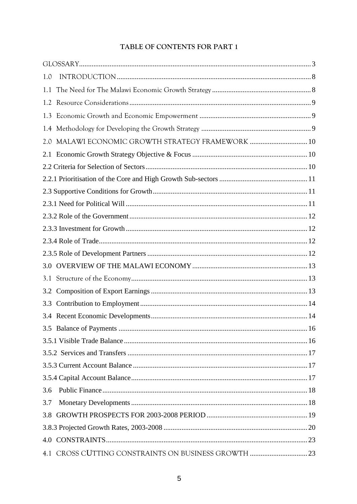# TABLE OF CONTENTS FOR PART 1

| 1.0                                                  |  |
|------------------------------------------------------|--|
| 1.1                                                  |  |
| 1.2                                                  |  |
| 1.3                                                  |  |
|                                                      |  |
| MALAWI ECONOMIC GROWTH STRATEGY FRAMEWORK  10<br>2.0 |  |
| 2.1                                                  |  |
|                                                      |  |
|                                                      |  |
|                                                      |  |
|                                                      |  |
|                                                      |  |
|                                                      |  |
|                                                      |  |
|                                                      |  |
| 3.0                                                  |  |
| 3.1                                                  |  |
| 3.2                                                  |  |
| 3.3                                                  |  |
|                                                      |  |
|                                                      |  |
|                                                      |  |
|                                                      |  |
|                                                      |  |
|                                                      |  |
| 3.6                                                  |  |
| 3.7                                                  |  |
|                                                      |  |
|                                                      |  |
|                                                      |  |
| 4.1 CROSS CUTTING CONSTRAINTS ON BUSINESS GROWTH  23 |  |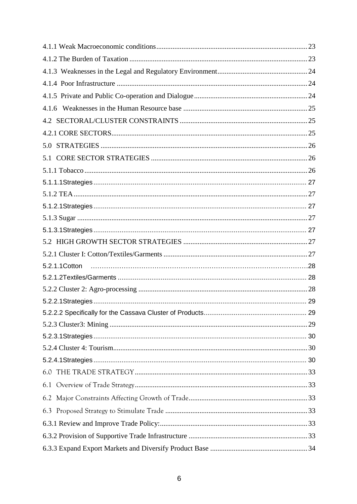| 5.1            |  |
|----------------|--|
|                |  |
|                |  |
|                |  |
|                |  |
|                |  |
|                |  |
|                |  |
|                |  |
| 5.2.1.1 Cotton |  |
|                |  |
|                |  |
|                |  |
|                |  |
|                |  |
|                |  |
|                |  |
|                |  |
|                |  |
|                |  |
|                |  |
|                |  |
|                |  |
|                |  |
|                |  |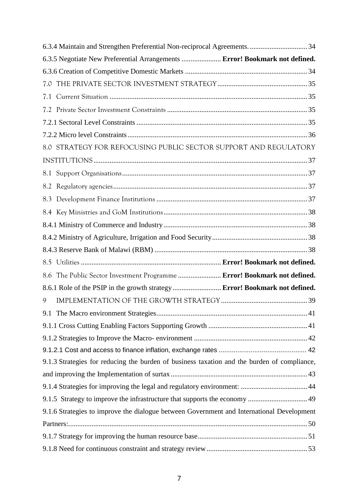|     | 6.3.5 Negotiate New Preferential Arrangements  Error! Bookmark not defined.                 |  |
|-----|---------------------------------------------------------------------------------------------|--|
|     |                                                                                             |  |
|     |                                                                                             |  |
| 7.1 |                                                                                             |  |
|     |                                                                                             |  |
|     |                                                                                             |  |
|     |                                                                                             |  |
|     | 8.0 STRATEGY FOR REFOCUSING PUBLIC SECTOR SUPPORT AND REGULATORY                            |  |
|     |                                                                                             |  |
|     |                                                                                             |  |
|     |                                                                                             |  |
|     |                                                                                             |  |
|     |                                                                                             |  |
|     |                                                                                             |  |
|     |                                                                                             |  |
|     |                                                                                             |  |
|     |                                                                                             |  |
| 8.6 | The Public Sector Investment Programme  Error! Bookmark not defined.                        |  |
|     | 8.6.1 Role of the PSIP in the growth strategy Error! Bookmark not defined.                  |  |
| 9   |                                                                                             |  |
|     |                                                                                             |  |
|     |                                                                                             |  |
|     |                                                                                             |  |
|     |                                                                                             |  |
|     | 9.1.3 Strategies for reducing the burden of business taxation and the burden of compliance, |  |
|     |                                                                                             |  |
|     |                                                                                             |  |
|     | 9.1.5 Strategy to improve the infrastructure that supports the economy  49                  |  |
|     | 9.1.6 Strategies to improve the dialogue between Government and International Development   |  |
|     |                                                                                             |  |
|     |                                                                                             |  |
|     |                                                                                             |  |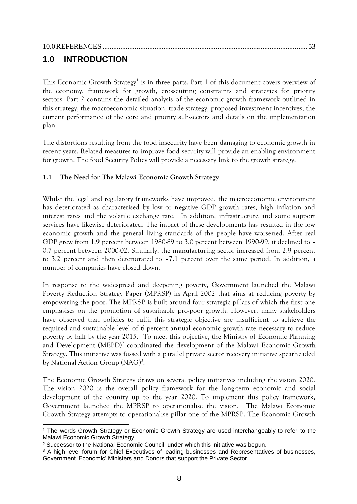# <span id="page-8-0"></span>**1.0 INTRODUCTION**

This Economic Growth Strategy<sup>1</sup> is in three parts. Part 1 of this document covers overview of the economy, framework for growth, crosscutting constraints and strategies for priority sectors. Part 2 contains the detailed analysis of the economic growth framework outlined in this strategy, the macroeconomic situation, trade strategy, proposed investment incentives, the current performance of the core and priority sub-sectors and details on the implementation plan.

The distortions resulting from the food insecurity have been damaging to economic growth in recent years. Related measures to improve food security will provide an enabling environment for growth. The food Security Policy will provide a necessary link to the growth strategy.

## <span id="page-8-1"></span>**1.1 The Need for The Malawi Economic Growth Strategy**

Whilst the legal and regulatory frameworks have improved, the macroeconomic environment has deteriorated as characterised by low or negative GDP growth rates, high inflation and interest rates and the volatile exchange rate. In addition, infrastructure and some support services have likewise deteriorated. The impact of these developments has resulted in the low economic growth and the general living standards of the people have worsened. After real GDP grew from 1.9 percent between 1980-89 to 3.0 percent between 1990-99, it declined to – 0.7 percent between 2000-02. Similarly, the manufacturing sector increased from 2.9 percent to 3.2 percent and then deteriorated to –7.1 percent over the same period. In addition, a number of companies have closed down.

In response to the widespread and deepening poverty, Government launched the Malawi Poverty Reduction Strategy Paper (MPRSP) in April 2002 that aims at reducing poverty by empowering the poor. The MPRSP is built around four strategic pillars of which the first one emphasises on the promotion of sustainable pro-poor growth. However, many stakeholders have observed that policies to fulfil this strategic objective are insufficient to achieve the required and sustainable level of 6 percent annual economic growth rate necessary to reduce poverty by half by the year 2015. To meet this objective, the Ministry of Economic Planning and Development (MEPD)<sup>2</sup> coordinated the development of the Malawi Economic Growth Strategy. This initiative was fussed with a parallel private sector recovery initiative spearheaded by National Action Group (NAG)<sup>3</sup>.

The Economic Growth Strategy draws on several policy initiatives including the vision 2020. The vision 2020 is the overall policy framework for the long-term economic and social development of the country up to the year 2020. To implement this policy framework, Government launched the MPRSP to operationalise the vision. The Malawi Economic Growth Strategy attempts to operationalise pillar one of the MPRSP. The Economic Growth

<sup>-</sup><sup>1</sup> The words Growth Strategy or Economic Growth Strategy are used interchangeably to refer to the Malawi Economic Growth Strategy.

<sup>&</sup>lt;sup>2</sup> Successor to the National Economic Council, under which this initiative was begun.

<sup>&</sup>lt;sup>3</sup> A high level forum for Chief Executives of leading businesses and Representatives of businesses, Government 'Economic' Ministers and Donors that support the Private Sector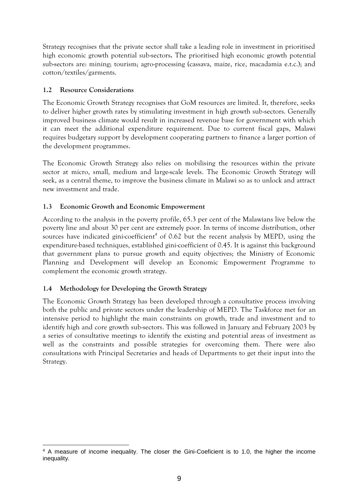Strategy recognises that the private sector shall take a leading role in investment in prioritised high economic growth potential sub-sectors**.** The prioritised high economic growth potential sub-sectors are: mining; tourism; agro-processing (cassava, maize, rice, macadamia e.t.c.); and cotton/textiles/garments.

## <span id="page-9-0"></span>**1.2 Resource Considerations**

The Economic Growth Strategy recognises that GoM resources are limited. It, therefore, seeks to deliver higher growth rates by stimulating investment in high growth sub-sectors. Generally improved business climate would result in increased revenue base for government with which it can meet the additional expenditure requirement. Due to current fiscal gaps, Malawi requires budgetary support by development cooperating partners to finance a larger portion of the development programmes.

The Economic Growth Strategy also relies on mobilising the resources within the private sector at micro, small, medium and large-scale levels. The Economic Growth Strategy will seek, as a central theme, to improve the business climate in Malawi so as to unlock and attract new investment and trade.

### <span id="page-9-1"></span>**1.3 Economic Growth and Economic Empowerment**

According to the analysis in the poverty profile, 65.3 per cent of the Malawians live below the poverty line and about 30 per cent are extremely poor. In terms of income distribution, other sources have indicated gini-coefficient<sup>4</sup> of  $0.62$  but the recent analysis by MEPD, using the expenditure-based techniques, established gini-coefficient of 0.45. It is against this background that government plans to pursue growth and equity objectives; the Ministry of Economic Planning and Development will develop an Economic Empowerment Programme to complement the economic growth strategy.

## <span id="page-9-2"></span>**1.4 Methodology for Developing the Growth Strategy**

The Economic Growth Strategy has been developed through a consultative process involving both the public and private sectors under the leadership of MEPD. The Taskforce met for an intensive period to highlight the main constraints on growth, trade and investment and to identify high and core growth sub-sectors. This was followed in January and February 2003 by a series of consultative meetings to identify the existing and potential areas of investment as well as the constraints and possible strategies for overcoming them. There were also consultations with Principal Secretaries and heads of Departments to get their input into the Strategy.

<sup>-</sup><sup>4</sup> A measure of income inequality. The closer the Gini-Coeficient is to 1.0, the higher the income inequality.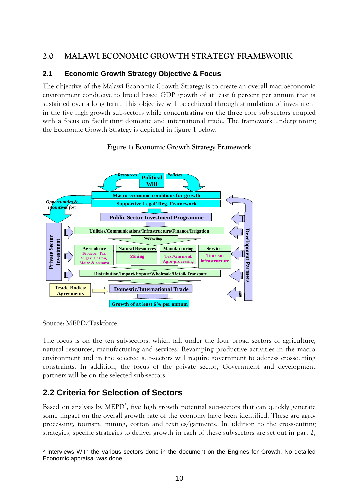# <span id="page-10-0"></span>**2.0 MALAWI ECONOMIC GROWTH STRATEGY FRAMEWORK**

## <span id="page-10-1"></span>**2.1 Economic Growth Strategy Objective & Focus**

The objective of the Malawi Economic Growth Strategy is to create an overall macroeconomic environment conducive to broad based GDP growth of at least 6 percent per annum that is sustained over a long term. This objective will be achieved through stimulation of investment in the five high growth sub-sectors while concentrating on the three core sub-sectors coupled with a focus on facilitating domestic and international trade. The framework underpinning the Economic Growth Strategy is depicted in figure 1 below.

#### **Figure 1: Economic Growth Strategy Framework**



Source: MEPD/Taskforce

The focus is on the ten sub-sectors, which fall under the four broad sectors of agriculture, natural resources, manufacturing and services. Revamping productive activities in the macro environment and in the selected sub-sectors will require government to address crosscutting constraints. In addition, the focus of the private sector, Government and development partners will be on the selected sub-sectors.

# <span id="page-10-2"></span>**2.2 Criteria for Selection of Sectors**

Based on analysis by MEPD<sup>5</sup>, five high growth potential sub-sectors that can quickly generate some impact on the overall growth rate of the economy have been identified. These are agroprocessing, tourism, mining, cotton and textiles/garments. In addition to the cross-cutting strategies, specific strategies to deliver growth in each of these sub-sectors are set out in part 2,

<sup>-</sup>5 Interviews With the various sectors done in the document on the Engines for Growth. No detailed Economic appraisal was done.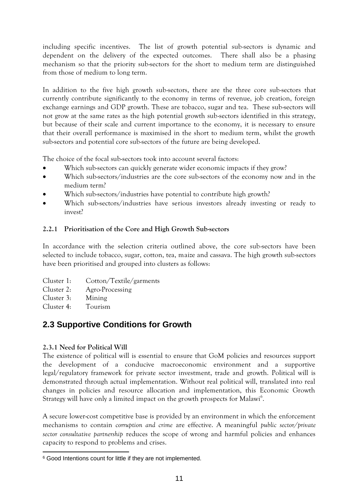including specific incentives. The list of growth potential sub-sectors is dynamic and dependent on the delivery of the expected outcomes. There shall also be a phasing mechanism so that the priority sub-sectors for the short to medium term are distinguished from those of medium to long term.

In addition to the five high growth sub-sectors, there are the three core sub-sectors that currently contribute significantly to the economy in terms of revenue, job creation, foreign exchange earnings and GDP growth. These are tobacco, sugar and tea. These sub-sectors will not grow at the same rates as the high potential growth sub-sectors identified in this strategy, but because of their scale and current importance to the economy, it is necessary to ensure that their overall performance is maximised in the short to medium term, whilst the growth sub-sectors and potential core sub-sectors of the future are being developed.

The choice of the focal sub-sectors took into account several factors:

- Which sub-sectors can quickly generate wider economic impacts if they grow?
- Which sub-sectors/industries are the core sub-sectors of the economy now and in the medium term?
- Which sub-sectors/industries have potential to contribute high growth?
- Which sub-sectors/industries have serious investors already investing or ready to invest?

### <span id="page-11-0"></span>**2.2.1 Prioritisation of the Core and High Growth Sub-sectors**

In accordance with the selection criteria outlined above, the core sub-sectors have been selected to include tobacco, sugar, cotton, tea, maize and cassava. The high growth sub-sectors have been prioritised and grouped into clusters as follows:

- Cluster 1: Cotton/Textile/garments
- Cluster 2: Agro-Processing
- Cluster 3: Mining
- Cluster 4: Tourism

# <span id="page-11-1"></span>**2.3 Supportive Conditions for Growth**

## <span id="page-11-2"></span>**2.3.1 Need for Political Will**

The existence of political will is essential to ensure that GoM policies and resources support the development of a conducive macroeconomic environment and a supportive legal/regulatory framework for private sector investment, trade and growth. Political will is demonstrated through actual implementation. Without real political will, translated into real changes in policies and resource allocation and implementation, this Economic Growth Strategy will have only a limited impact on the growth prospects for Malawi<sup>6</sup>.

A secure lower-cost competitive base is provided by an environment in which the enforcement mechanisms to contain *corruption and crime* are effective. A meaningful *public sector/private sector consultative partnership* reduces the scope of wrong and harmful policies and enhances capacity to respond to problems and crises.

<sup>-</sup><sup>6</sup> Good Intentions count for little if they are not implemented.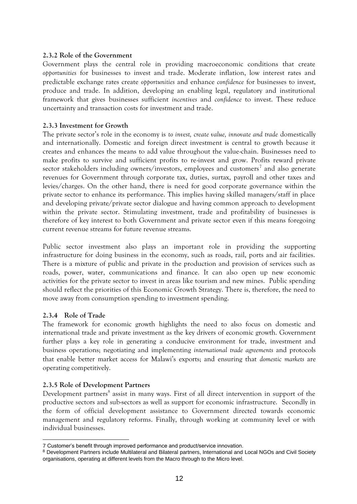#### <span id="page-12-0"></span>**2.3.2 Role of the Government**

Government plays the central role in providing macroeconomic conditions that create *opportunities* for businesses to invest and trade. Moderate inflation, low interest rates and predictable exchange rates create *opportunities* and enhance *confidence* for businesses to invest, produce and trade. In addition, developing an enabling legal, regulatory and institutional framework that gives businesses sufficient *incentives* and *confidence* to invest. These reduce uncertainty and transaction costs for investment and trade.

#### <span id="page-12-1"></span>**2.3.3 Investment for Growth**

The private sector's role in the economy is *to invest, create value, innovate and trade* domestically and internationally. Domestic and foreign direct investment is central to growth because it creates and enhances the means to add value throughout the value-chain. Businesses need to make profits to survive and sufficient profits to re-invest and grow. Profits reward private sector stakeholders including owners/investors, employees and customers<sup>7</sup> and also generate revenues for Government through corporate tax, duties, surtax, payroll and other taxes and levies/charges. On the other hand, there is need for good corporate governance within the private sector to enhance its performance. This implies having skilled managers/staff in place and developing private/private sector dialogue and having common approach to development within the private sector. Stimulating investment, trade and profitability of businesses is therefore of key interest to both Government and private sector even if this means foregoing current revenue streams for future revenue streams.

Public sector investment also plays an important role in providing the supporting infrastructure for doing business in the economy, such as roads, rail, ports and air facilities. There is a mixture of public and private in the production and provision of services such as roads, power, water, communications and finance. It can also open up new economic activities for the private sector to invest in areas like tourism and new mines. Public spending should reflect the priorities of this Economic Growth Strategy. There is, therefore, the need to move away from consumption spending to investment spending.

#### <span id="page-12-2"></span>**2.3.4 Role of Trade**

The framework for economic growth highlights the need to also focus on domestic and international trade and private investment as the key drivers of economic growth. Government further plays a key role in generating a conducive environment for trade, investment and business operations; negotiating and implementing *international trade agreements* and protocols that enable better market access for Malawi's exports; and ensuring that *domestic markets* are operating competitively.

#### <span id="page-12-3"></span>**2.3.5 Role of Development Partners**

Development partners<sup>8</sup> assist in many ways. First of all direct intervention in support of the productive sectors and sub-sectors as well as support for economic infrastructure. Secondly in the form of official development assistance to Government directed towards economic management and regulatory reforms. Finally, through working at community level or with individual businesses.

<sup>-</sup>7 Customer's benefit through improved performance and product/service innovation.

<sup>8</sup> Development Partners include Multilateral and Bilateral partners, International and Local NGOs and Civil Society organisations, operating at different levels from the Macro through to the Micro level.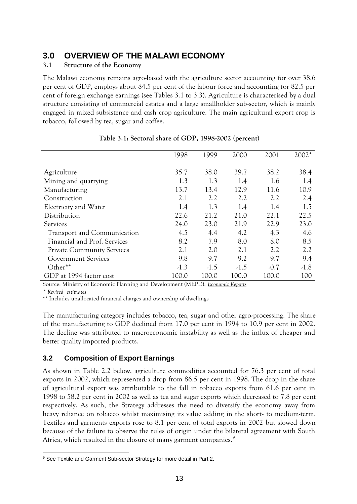# <span id="page-13-0"></span>**3.0 OVERVIEW OF THE MALAWI ECONOMY**

## <span id="page-13-1"></span>**3.1 Structure of the Economy**

The Malawi economy remains agro-based with the agriculture sector accounting for over 38.6 per cent of GDP, employs about 84.5 per cent of the labour force and accounting for 82.5 per cent of foreign exchange earnings (see Tables 3.1 to 3.3). Agriculture is characterised by a dual structure consisting of commercial estates and a large smallholder sub-sector, which is mainly engaged in mixed subsistence and cash crop agriculture. The main agricultural export crop is tobacco, followed by tea, sugar and coffee.

|                                   | 1998   | 1999   | 2000   | 2001   | 2002*  |
|-----------------------------------|--------|--------|--------|--------|--------|
| Agriculture                       | 35.7   | 38.0   | 39.7   | 38.2   | 38.4   |
|                                   |        |        |        |        |        |
| Mining and quarrying              | 1.3    | 1.3    | 1.4    | 1.6    | 1.4    |
| Manufacturing                     | 13.7   | 13.4   | 12.9   | 11.6   | 10.9   |
| Construction                      | 2.1    | 2.2    | 2.2    | 2.2    | 2.4    |
| Electricity and Water             | 1.4    | 1.3    | 1.4    | 1.4    | 1.5    |
| Distribution                      | 22.6   | 21.2   | 21.0   | 22.1   | 22.5   |
| Services                          | 24.0   | 23.0   | 21.9   | 22.9   | 23.0   |
| Transport and Communication       | 4.5    | 4.4    | 4.2    | 4.3    | 4.6    |
| Financial and Prof. Services      | 8.2    | 7.9    | 8.0    | 8.0    | 8.5    |
| <b>Private Community Services</b> | 2.1    | 2.0    | 2.1    | 2.2    | 2.2    |
| <b>Government Services</b>        | 9.8    | 9.7    | 9.2    | 9.7    | 9.4    |
| Other**                           | $-1.3$ | $-1.5$ | $-1.5$ | $-0.7$ | $-1.8$ |
| GDP at 1994 factor cost           | 100.0  | 100.0  | 100.0  | 100.0  | 100    |

### **Table 3.1: Sectoral share of GDP, 1998-2002 (percent)**

Source: Ministry of Economic Planning and Development (MEPD), *Economic Reports*

*\* Revised estimates*

\*\* Includes unallocated financial charges and ownership of dwellings

The manufacturing category includes tobacco, tea, sugar and other agro-processing. The share of the manufacturing to GDP declined from 17.0 per cent in 1994 to 10.9 per cent in 2002. The decline was attributed to macroeconomic instability as well as the influx of cheaper and better quality imported products.

# <span id="page-13-2"></span>**3.2 Composition of Export Earnings**

As shown in Table 2.2 below, agriculture commodities accounted for 76.3 per cent of total exports in 2002, which represented a drop from 86.5 per cent in 1998. The drop in the share of agricultural export was attributable to the fall in tobacco exports from 61.6 per cent in 1998 to 58.2 per cent in 2002 as well as tea and sugar exports which decreased to 7.8 per cent respectively. As such, the Strategy addresses the need to diversify the economy away from heavy reliance on tobacco whilst maximising its value adding in the short- to medium-term. Textiles and garments exports rose to 8.1 per cent of total exports in 2002 but slowed down because of the failure to observe the rules of origin under the bilateral agreement with South Africa, which resulted in the closure of many garment companies.<sup>9</sup>

<sup>-</sup><sup>9</sup> See Textile and Garment Sub-sector Strategy for more detail in Part 2.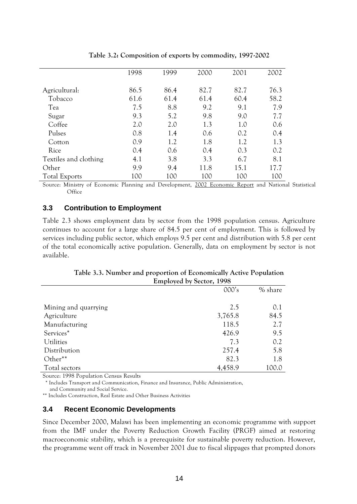|                       | 1998 | 1999 | 2000 | 2001 | 2002 |
|-----------------------|------|------|------|------|------|
|                       |      |      | 82.7 |      |      |
| Agricultural:         | 86.5 | 86.4 |      | 82.7 | 76.3 |
| Tobacco               | 61.6 | 61.4 | 61.4 | 60.4 | 58.2 |
| Tea                   | 7.5  | 8.8  | 9.2  | 9.1  | 7.9  |
| Sugar                 | 9.3  | 5.2  | 9.8  | 9.0  | 7.7  |
| Coffee                | 2.0  | 2.0  | 1.3  | 1.0  | 0.6  |
| Pulses                | 0.8  | 1.4  | 0.6  | 0.2  | 0.4  |
| Cotton                | 0.9  | 1.2  | 1.8  | 1.2  | 1.3  |
| Rice                  | 0.4  | 0.6  | 0.4  | 0.3  | 0.2  |
| Textiles and clothing | 4.1  | 3.8  | 3.3  | 6.7  | 8.1  |
| Other                 | 9.9  | 9.4  | 11.8 | 15.1 | 17.7 |
| <b>Total Exports</b>  | 100  | 100  | 100  | 100  | 100  |

**Table 3.2: Composition of exports by commodity, 1997-2002**

Source: Ministry of Economic Planning and Development, 2002 Economic Report and National Statistical **Office** 

#### <span id="page-14-0"></span>**3.3 Contribution to Employment**

Table 2.3 shows employment data by sector from the 1998 population census. Agriculture continues to account for a large share of 84.5 per cent of employment. This is followed by services including public sector, which employs 9.5 per cent and distribution with 5.8 per cent of the total economically active population. Generally, data on employment by sector is not available.

**Table 3.3. Number and proportion of Economically Active Population Employed by Sector, 1998** 

|                      | 000's   | % share |
|----------------------|---------|---------|
|                      |         |         |
| Mining and quarrying | 2.5     | 0.1     |
| Agriculture          | 3,765.8 | 84.5    |
| Manufacturing        | 118.5   | 2.7     |
| Services*            | 426.9   | 9.5     |
| Utilities            | 7.3     | 0.2     |
| Distribution         | 257.4   | 5.8     |
| Other**              | 82.3    | 1.8     |
| Total sectors        | 4,458.9 | 100.0   |

Source: 1998 Population Census Results

\* Includes Transport and Communication, Finance and Insurance, Public Administration,

and Community and Social Service.

\*\* Includes Construction, Real Estate and Other Business Activities

#### <span id="page-14-1"></span>**3.4 Recent Economic Developments**

Since December 2000, Malawi has been implementing an economic programme with support from the IMF under the Poverty Reduction Growth Facility (PRGF) aimed at restoring macroeconomic stability, which is a prerequisite for sustainable poverty reduction. However, the programme went off track in November 2001 due to fiscal slippages that prompted donors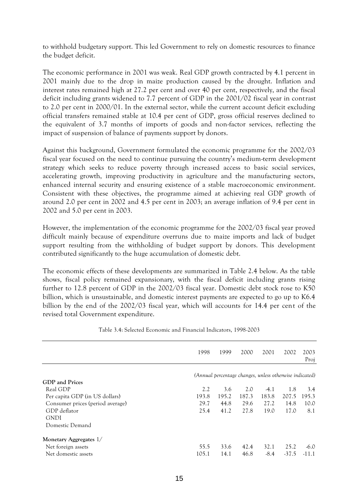to withhold budgetary support. This led Government to rely on domestic resources to finance the budget deficit.

The economic performance in 2001 was weak. Real GDP growth contracted by 4.1 percent in 2001 mainly due to the drop in maize production caused by the drought. Inflation and interest rates remained high at 27.2 per cent and over 40 per cent, respectively, and the fiscal deficit including grants widened to 7.7 percent of GDP in the 2001/02 fiscal year in contrast to 2.0 per cent in 2000/01. In the external sector, while the current account deficit excluding official transfers remained stable at 10.4 per cent of GDP, gross official reserves declined to the equivalent of 3.7 months of imports of goods and non-factor services, reflecting the impact of suspension of balance of payments support by donors.

Against this background, Government formulated the economic programme for the 2002/03 fiscal year focused on the need to continue pursuing the country's medium-term development strategy which seeks to reduce poverty through increased access to basic social services, accelerating growth, improving productivity in agriculture and the manufacturing sectors, enhanced internal security and ensuring existence of a stable macroeconomic environment. Consistent with these objectives, the programme aimed at achieving real GDP growth of around 2.0 per cent in 2002 and 4.5 per cent in 2003; an average inflation of 9.4 per cent in 2002 and 5.0 per cent in 2003.

However, the implementation of the economic programme for the 2002/03 fiscal year proved difficult mainly because of expenditure overruns due to maize imports and lack of budget support resulting from the withholding of budget support by donors. This development contributed significantly to the huge accumulation of domestic debt.

The economic effects of these developments are summarized in Table 2.4 below. As the table shows, fiscal policy remained expansionary, with the fiscal deficit including grants rising further to 12.8 percent of GDP in the 2002/03 fiscal year. Domestic debt stock rose to K50 billion, which is unsustainable, and domestic interest payments are expected to go up to K6.4 billion by the end of the 2002/03 fiscal year, which will accounts for 14.4 per cent of the revised total Government expenditure.

|                                  | 1998  | 1999  | 2000                                                    | 2001   | 2002    | 2003<br>Proj |
|----------------------------------|-------|-------|---------------------------------------------------------|--------|---------|--------------|
|                                  |       |       | (Annual percentage changes, unless otherwise indicated) |        |         |              |
| GDP and Prices                   |       |       |                                                         |        |         |              |
| Real GDP                         | 2.2   | 3.6   | 2.0                                                     | $-4.1$ | 1.8     | 3.4          |
| Per capita GDP (in US dollars)   | 193.8 | 195.2 | 187.3                                                   | 183.8  | 207.5   | 195.3        |
| Consumer prices (period average) | 29.7  | 44.8  | 29.6                                                    | 27.2   | 14.8    | 10.0         |
| GDP deflator                     | 25.4  | 41.2  | 27.8                                                    | 19.0   | 17.0    | 8.1          |
| <b>GNDI</b>                      |       |       |                                                         |        |         |              |
| Domestic Demand                  |       |       |                                                         |        |         |              |
| Monetary Aggregates 1/           |       |       |                                                         |        |         |              |
| Net foreign assets               | 55.5  | 33.6  | 42.4                                                    | 32.1   | 25.2    | $-6.0$       |
| Net domestic assets              | 105.1 | 14.1  | 46.8                                                    | $-8.4$ | $-37.5$ | -11.1        |

Table 3.4: Selected Economic and Financial Indicators, 1998-2003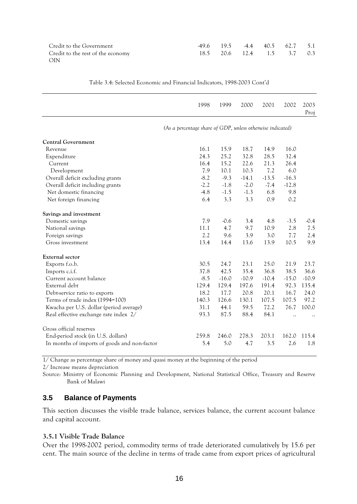| Credit to the Government          | 49.6 19.5 4.4 40.5 62.7 5.1 |  |  |
|-----------------------------------|-----------------------------|--|--|
| Credit to the rest of the economy | 18.5 20.6 12.4 1.5 3.7 0.3  |  |  |
| - OIN                             |                             |  |  |

|                                              | 1998                                                       | 1999    | 2000    | 2001    | 2002    | 2003<br>Proj |  |  |  |
|----------------------------------------------|------------------------------------------------------------|---------|---------|---------|---------|--------------|--|--|--|
|                                              | (As a percentage share of GDP, unless otherwise indicated) |         |         |         |         |              |  |  |  |
| <b>Central Government</b>                    |                                                            |         |         |         |         |              |  |  |  |
| Revenue                                      | 16.1                                                       | 15.9    | 18.7    | 14.9    | 16.0    |              |  |  |  |
| Expenditure                                  | 24.3                                                       | 25.2    | 32.8    | 28.5    | 32.4    |              |  |  |  |
| Current                                      | 16.4                                                       | 15.2    | 22.6    | 21.3    | 26.4    |              |  |  |  |
| Development                                  | 7.9                                                        | 10.1    | 10.3    | 7.2     | 6.0     |              |  |  |  |
| Overall deficit excluding grants             | $-8.2$                                                     | $-9.3$  | $-14.1$ | $-13.5$ | $-16.3$ |              |  |  |  |
| Overall deficit including grants             | $-2.2$                                                     | $-1.8$  | $-2.0$  | $-7.4$  | $-12.8$ |              |  |  |  |
| Net domestic financing                       | $-4.8$                                                     | $-1.5$  | $-1.3$  | 6.8     | 9.8     |              |  |  |  |
| Net foreign financing                        | 6.4                                                        | 3.3     | 3.3     | 0.9     | 0.2     |              |  |  |  |
| Savings and investment                       |                                                            |         |         |         |         |              |  |  |  |
| Domestic savings                             | 7.9                                                        | $-0.6$  | 3.4     | 4.8     | $-3.5$  | $-0.4$       |  |  |  |
| National savings                             | 11.1                                                       | 4.7     | 9.7     | 10.9    | 2.8     | 7.5          |  |  |  |
| Foreign savings                              | 2.2                                                        | 9.6     | 3.9     | 3.0     | 7.7     | 2.4          |  |  |  |
| Gross investment                             | 13.4                                                       | 14.4    | 13.6    | 13.9    | 10.5    | 9.9          |  |  |  |
| External sector                              |                                                            |         |         |         |         |              |  |  |  |
| Exports f.o.b.                               | 30.5                                                       | 24.7    | 23.1    | 25.0    | 21.9    | 23.7         |  |  |  |
| Imports c.i.f.                               | 37.8                                                       | 42.5    | 35.4    | 36.8    | 38.5    | 36.6         |  |  |  |
| Current account balance                      | $-8.5$                                                     | $-16.0$ | $-10.9$ | $-10.4$ | $-15.0$ | $-10.9$      |  |  |  |
| External debt                                | 129.4                                                      | 129.4   | 197.6   | 191.4   | 92.3    | 135.4        |  |  |  |
| Debt-service ratio to exports                | 18.2                                                       | 17.7    | 20.8    | 20.1    | 16.7    | 24.0         |  |  |  |
| Terms of trade index (1994=100)              | 140.3                                                      | 126.6   | 130.1   | 107.5   | 107.5   | 97.2         |  |  |  |
| Kwacha per U.S. dollar (period average)      | 31.1                                                       | 44.1    | 59.5    | 72.2    | 76.7    | 100.0        |  |  |  |
| Real effective exchange rate index 2/        | 93.3                                                       | 87.5    | 88.4    | 84.1    |         |              |  |  |  |
| Gross official reserves                      |                                                            |         |         |         |         |              |  |  |  |
| End-period stock (in U.S. dollars)           | 259.8                                                      | 246.0   | 278.3   | 203.1   | 162.0   | 115.4        |  |  |  |
| In months of imports of goods and non-factor | 5.4                                                        | 5.0     | 4.7     | 3.5     | 2.6     | 1.8          |  |  |  |

Table 3.4: Selected Economic and Financial Indicators, 1998-2003 Cont'd

1/ Change as percentage share of money and quasi money at the beginning of the period

2/ Increase means depreciation

Source: Ministry of Economic Planning and Development, National Statistical Office, Treasury and Reserve Bank of Malawi

#### <span id="page-16-0"></span>**3.5 Balance of Payments**

This section discusses the visible trade balance, services balance, the current account balance and capital account.

#### <span id="page-16-1"></span>**3.5.1 Visible Trade Balance**

Over the 1998-2002 period, commodity terms of trade deteriorated cumulatively by 15.6 per cent. The main source of the decline in terms of trade came from export prices of agricultural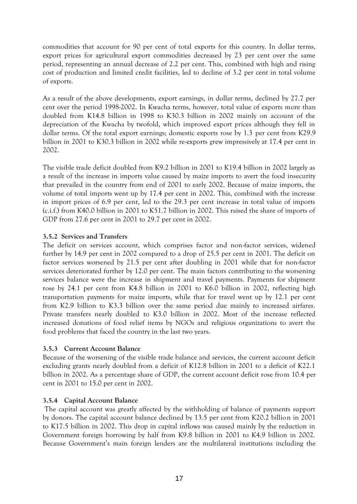commodities that account for 90 per cent of total exports for this country. In dollar terms, export prices for agricultural export commodities decreased by 23 per cent over the same period, representing an annual decrease of 2.2 per cent. This, combined with high and rising cost of production and limited credit facilities, led to decline of 3.2 per cent in total volume of exports.

As a result of the above developments, export earnings, in dollar terms, declined by 27.7 per cent over the period 1998-2002. In Kwacha terms, however, total value of exports more than doubled from K14.8 billion in 1998 to K30.3 billion in 2002 mainly on account of the depreciation of the Kwacha by twofold, which improved export prices although they fell in dollar terms. Of the total export earnings; domestic exports rose by 1.3 per cent from K29.9 billion in 2001 to K30.3 billion in 2002 while re-exports grew impressively at 17.4 per cent in 2002.

The visible trade deficit doubled from K9.2 billion in 2001 to K19.4 billion in 2002 largely as a result of the increase in imports value caused by maize imports to avert the food insecurity that prevailed in the country from end of 2001 to early 2002. Because of maize imports, the volume of total imports went up by 17.4 per cent in 2002. This, combined with the increase in import prices of 6.9 per cent, led to the 29.3 per cent increase in total value of imports (c.i.f.) from K40.0 billion in 2001 to K51.7 billion in 2002. This raised the share of imports of GDP from 27.6 per cent in 2001 to 29.7 per cent in 2002.

### <span id="page-17-0"></span>**3.5.2 Services and Transfers**

The deficit on services account, which comprises factor and non-factor services, widened further by 14.9 per cent in 2002 compared to a drop of 25.5 per cent in 2001. The deficit on factor services worsened by 21.5 per cent after doubling in 2001 while that for non-factor services deteriorated further by 12.0 per cent. The main factors contributing to the worsening services balance were the increase in shipment and travel payments. Payments for shipment rose by 24.1 per cent from K4.8 billion in 2001 to K6.0 billion in 2002, reflecting high transportation payments for maize imports, while that for travel went up by 12.1 per cent from K2.9 billion to K3.3 billion over the same period due mainly to increased airfares. Private transfers nearly doubled to K3.0 billion in 2002. Most of the increase reflected increased donations of food relief items by NGOs and religious organizations to avert the food problems that faced the country in the last two years.

#### <span id="page-17-1"></span>**3.5.3 Current Account Balance**

Because of the worsening of the visible trade balance and services, the current account deficit excluding grants nearly doubled from a deficit of K12.8 billion in 2001 to a deficit of K22.1 billion in 2002. As a percentage share of GDP, the current account deficit rose from 10.4 per cent in 2001 to 15.0 per cent in 2002.

#### <span id="page-17-2"></span>**3.5.4 Capital Account Balance**

The capital account was greatly affected by the withholding of balance of payments support by donors. The capital account balance declined by 13.5 per cent from K20.2 billion in 2001 to K17.5 billion in 2002. This drop in capital inflows was caused mainly by the reduction in Government foreign borrowing by half from K9.8 billion in 2001 to K4.9 billion in 2002. Because Government's main foreign lenders are the multilateral institutions including the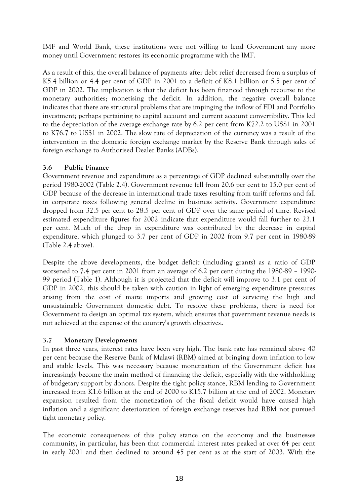IMF and World Bank, these institutions were not willing to lend Government any more money until Government restores its economic programme with the IMF.

As a result of this, the overall balance of payments after debt relief decreased from a surplus of K5.4 billion or 4.4 per cent of GDP in 2001 to a deficit of K8.1 billion or 5.5 per cent of GDP in 2002. The implication is that the deficit has been financed through recourse to the monetary authorities; monetising the deficit. In addition, the negative overall balance indicates that there are structural problems that are impinging the inflow of FDI and Portfolio investment; perhaps pertaining to capital account and current account convertibility. This led to the depreciation of the average exchange rate by 6.2 per cent from K72.2 to US\$1 in 2001 to K76.7 to US\$1 in 2002. The slow rate of depreciation of the currency was a result of the intervention in the domestic foreign exchange market by the Reserve Bank through sales of foreign exchange to Authorised Dealer Banks (ADBs).

### <span id="page-18-0"></span>**3.6 Public Finance**

Government revenue and expenditure as a percentage of GDP declined substantially over the period 1980-2002 (Table 2.4). Government revenue fell from 20.6 per cent to 15.0 per cent of GDP because of the decrease in international trade taxes resulting from tariff reforms and fall in corporate taxes following general decline in business activity. Government expenditure dropped from 32.5 per cent to 28.5 per cent of GDP over the same period of time. Revised estimated expenditure figures for 2002 indicate that expenditure would fall further to 23.1 per cent. Much of the drop in expenditure was contributed by the decrease in capital expenditure, which plunged to 3.7 per cent of GDP in 2002 from 9.7 per cent in 1980-89 (Table 2.4 above).

Despite the above developments, the budget deficit (including grants) as a ratio of GDP worsened to 7.4 per cent in 2001 from an average of 6.2 per cent during the 1980-89 – 1990- 99 period (Table 1). Although it is projected that the deficit will improve to 3.1 per cent of GDP in 2002, this should be taken with caution in light of emerging expenditure pressures arising from the cost of maize imports and growing cost of servicing the high and unsustainable Government domestic debt. To resolve these problems, there is need for Government to design an optimal tax system, which ensures that government revenue needs is not achieved at the expense of the country's growth objectives**.**

## <span id="page-18-1"></span>**3.7 Monetary Developments**

In past three years, interest rates have been very high. The bank rate has remained above 40 per cent because the Reserve Bank of Malawi (RBM) aimed at bringing down inflation to low and stable levels. This was necessary because monetization of the Government deficit has increasingly become the main method of financing the deficit, especially with the withholding of budgetary support by donors. Despite the tight policy stance, RBM lending to Government increased from K1.6 billion at the end of 2000 to K15.7 billion at the end of 2002. Monetary expansion resulted from the monetization of the fiscal deficit would have caused high inflation and a significant deterioration of foreign exchange reserves had RBM not pursued tight monetary policy.

The economic consequences of this policy stance on the economy and the businesses community, in particular, has been that commercial interest rates peaked at over 64 per cent in early 2001 and then declined to around 45 per cent as at the start of 2003. With the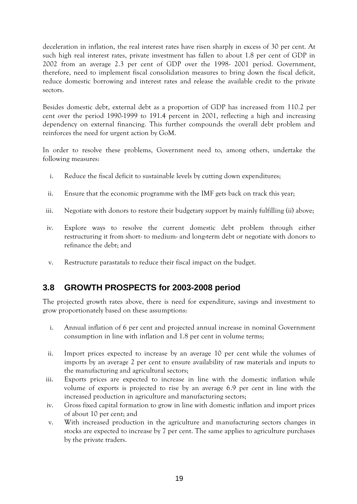deceleration in inflation, the real interest rates have risen sharply in excess of 30 per cent. At such high real interest rates, private investment has fallen to about 1.8 per cent of GDP in 2002 from an average 2.3 per cent of GDP over the 1998- 2001 period. Government, therefore, need to implement fiscal consolidation measures to bring down the fiscal deficit, reduce domestic borrowing and interest rates and release the available credit to the private sectors.

Besides domestic debt, external debt as a proportion of GDP has increased from 110.2 per cent over the period 1990-1999 to 191.4 percent in 2001, reflecting a high and increasing dependency on external financing. This further compounds the overall debt problem and reinforces the need for urgent action by GoM.

In order to resolve these problems, Government need to, among others, undertake the following measures:

- i. Reduce the fiscal deficit to sustainable levels by cutting down expenditures;
- ii. Ensure that the economic programme with the IMF gets back on track this year;
- iii. Negotiate with donors to restore their budgetary support by mainly fulfilling (ii) above;
- iv. Explore ways to resolve the current domestic debt problem through either restructuring it from short- to medium- and long-term debt or negotiate with donors to refinance the debt; and
- v. Restructure parastatals to reduce their fiscal impact on the budget.

# <span id="page-19-0"></span>**3.8 GROWTH PROSPECTS for 2003-2008 period**

The projected growth rates above, there is need for expenditure, savings and investment to grow proportionately based on these assumptions:

- i. Annual inflation of 6 per cent and projected annual increase in nominal Government consumption in line with inflation and 1.8 per cent in volume terms;
- ii. Import prices expected to increase by an average 10 per cent while the volumes of imports by an average 2 per cent to ensure availability of raw materials and inputs to the manufacturing and agricultural sectors;
- iii. Exports prices are expected to increase in line with the domestic inflation while volume of exports is projected to rise by an average 6.9 per cent in line with the increased production in agriculture and manufacturing sectors;
- iv. Gross fixed capital formation to grow in line with domestic inflation and import prices of about 10 per cent; and
- v. With increased production in the agriculture and manufacturing sectors changes in stocks are expected to increase by 7 per cent. The same applies to agriculture purchases by the private traders.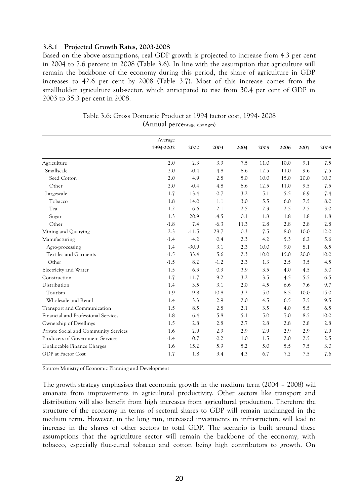#### <span id="page-20-0"></span>**3.8.1 Projected Growth Rates, 2003-2008**

Based on the above assumptions, real GDP growth is projected to increase from 4.3 per cent in 2004 to 7.6 percent in 2008 (Table 3.6). In line with the assumption that agriculture will remain the backbone of the economy during this period, the share of agriculture in GDP increases to 42.6 per cent by 2008 (Table 3.7). Most of this increase comes from the smallholder agriculture sub-sector, which anticipated to rise from 30.4 per cent of GDP in 2003 to 35.3 per cent in 2008.

|                                       | Average   |         |        |      |      |      |      |      |
|---------------------------------------|-----------|---------|--------|------|------|------|------|------|
|                                       | 1994-2002 | 2002    | 2003   | 2004 | 2005 | 2006 | 2007 | 2008 |
| Agriculture                           | 2.0       | 2.3     | 3.9    | 7.5  | 11.0 | 10.0 | 9.1  | 7.5  |
| Smallscale                            | 2.0       | $-0.4$  | 4.8    | 8.6  | 12.5 | 11.0 | 9.6  | 7.5  |
| Seed Cotton                           | 2.0       | 4.9     | 2.8    | 5.0  | 10.0 | 15.0 | 20.0 | 10.0 |
| Other                                 | 2.0       | $-0.4$  | 4.8    | 8.6  | 12.5 | 11.0 | 9.5  | 7.5  |
| Largescale                            | 1.7       | 13.4    | 0.7    | 3.2  | 5.1  | 5.5  | 6.9  | 7.4  |
| Tobacco                               | 1.8       | 14.0    | 1.1    | 3.0  | 5.5  | 6.0  | 7.5  | 8.0  |
| Tea                                   | 1.2       | 6.6     | 2.1    | 2.5  | 2.3  | 2.5  | 2.5  | 3.0  |
| Sugar                                 | 1.3       | 20.9    | $-4.5$ | 0.1  | 1.8  | 1.8  | 1.8  | 1.8  |
| Other                                 | $-1.8$    | 7.4     | $-6.3$ | 11.3 | 2.8  | 2.8  | 2.8  | 2.8  |
| Mining and Quarying                   | 2.3       | $-11.5$ | 28.7   | 0.3  | 7.5  | 8.0  | 10.0 | 12.0 |
| Manufacturing                         | $-1.4$    | $-4.2$  | 0.4    | 2.3  | 4.2  | 5.3  | 6.2  | 5.6  |
| Agro-processing                       | 1.4       | $-30.9$ | 3.1    | 2.3  | 10.0 | 9.0  | 8.1  | 6.5  |
| <b>Textiles and Garments</b>          | $-1.5$    | 33.4    | 5.6    | 2.3  | 10.0 | 15.0 | 20.0 | 10.0 |
| Other                                 | $-1.5$    | 8.2     | $-1.2$ | 2.3  | 1.3  | 2.5  | 3.5  | 4.5  |
| Electricity and Water                 | 1.5       | 6.3     | 0.9    | 3.9  | 3.5  | 4.0  | 4.5  | 5.0  |
| Construction                          | 1.7       | 11.7    | 9.2    | 3.2  | 3.5  | 4.5  | 5.5  | 6.5  |
| Distribution                          | 1.4       | 3.5     | 3.1    | 2.0  | 4.5  | 6.6  | 7.6  | 9.7  |
| Tourism                               | 1.9       | 9.8     | 10.8   | 3.2  | 5.0  | 8.5  | 10.0 | 15.0 |
| Wholesale and Retail                  | 1.4       | 3.3     | 2.9    | 2.0  | 4.5  | 6.5  | 7.5  | 9.5  |
| Transport and Communication           | 1.5       | 8.5     | 2.8    | 2.1  | 3.5  | 4.0  | 5.5  | 6.5  |
| Financial and Professional Services   | 1.8       | 6.4     | 5.8    | 5.1  | 5.0  | 7.0  | 8.5  | 10.0 |
| Ownership of Dwellings                | 1.5       | 2.8     | 2.8    | 2.7  | 2.8  | 2.8  | 2.8  | 2.8  |
| Private Social and Community Services | 1.6       | 2.9     | 2.9    | 2.9  | 2.9  | 2.9  | 2.9  | 2.9  |
| Producers of Government Services      | $-1.4$    | $-0.7$  | 0.2    | 1.0  | 1.5  | 2.0  | 2.5  | 2.5  |
| Unallocable Finance Charges           | 1.6       | 15.2    | 5.9    | 5.2  | 5.0  | 5.5  | 7.5  | 3.0  |
| GDP at Factor Cost                    | 1.7       | 1.8     | 3.4    | 4.3  | 6.7  | 7.2  | 7.5  | 7.6  |

Table 3.6: Gross Domestic Product at 1994 factor cost, 1994- 2008 (Annual percentage changes)

Source: Ministry of Economic Planning and Development

The growth strategy emphasises that economic growth in the medium term (2004 – 2008) will emanate from improvements in agricultural productivity. Other sectors like transport and distribution will also benefit from high increases from agricultural production. Therefore the structure of the economy in terms of sectoral shares to GDP will remain unchanged in the medium term. However, in the long run, increased investments in infrastructure will lead to increase in the shares of other sectors to total GDP. The scenario is built around these assumptions that the agriculture sector will remain the backbone of the economy, with tobacco, especially flue-cured tobacco and cotton being high contributors to growth. On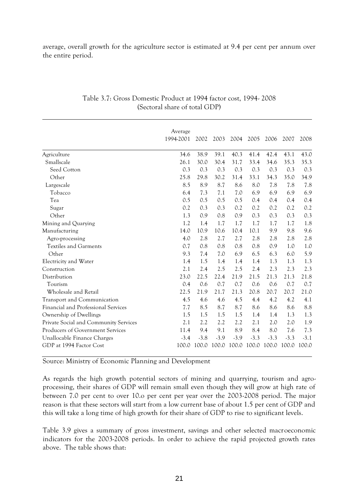average, overall growth for the agriculture sector is estimated at 9.4 per cent per annum over the entire period.

|                                       | Average<br>1994-2001 | 2002   | 2003   | 2004   | 2005   | 2006   | 2007   | 2008   |
|---------------------------------------|----------------------|--------|--------|--------|--------|--------|--------|--------|
| Agriculture                           | 34.6                 | 38.9   | 39.1   | 40.3   | 41.4   | 42.4   | 43.1   | 43.0   |
| Smallscale                            | 26.1                 | 30.0   | 30.4   | 31.7   | 33.4   | 34.6   | 35.3   | 35.3   |
| Seed Cotton                           | 0.3                  | 0.3    | 0.3    | 0.3    | 0.3    | 0.3    | 0.3    | 0.3    |
| Other                                 | 25.8                 | 29.8   | 30.2   | 31.4   | 33.1   | 34.3   | 35.0   | 34.9   |
| Largescale                            | 8.5                  | 8.9    | 8.7    | 8.6    | 8.0    | 7.8    | 7.8    | 7.8    |
| Tobacco                               | 6.4                  | 7.3    | 7.1    | 7.0    | 6.9    | 6.9    | 6.9    | 6.9    |
| Tea                                   | 0.5                  | 0.5    | 0.5    | 0.5    | 0.4    | 0.4    | 0.4    | 0.4    |
| Sugar                                 | 0.2                  | 0.3    | 0.3    | 0.2    | 0.2    | 0.2    | 0.2    | 0.2    |
| Other                                 | 1.3                  | 0.9    | 0.8    | 0.9    | 0.3    | 0.3    | 0.3    | 0.3    |
| Mining and Quarying                   | 1.2                  | 1.4    | 1.7    | 1.7    | 1.7    | 1.7    | 1.7    | 1.8    |
| Manufacturing                         | 14.0                 | 10.9   | 10.6   | 10.4   | 10.1   | 9.9    | 9.8    | 9.6    |
| Agro-processing                       | 4.0                  | 2.8    | 2.7    | 2.7    | 2.8    | 2.8    | 2.8    | 2.8    |
| <b>Textiles and Garments</b>          | 0.7                  | 0.8    | 0.8    | 0.8    | 0.8    | 0.9    | 1.0    | 1.0    |
| Other                                 | 9.3                  | 7.4    | 7.0    | 6.9    | 6.5    | 6.3    | 6.0    | 5.9    |
| Electricity and Water                 | 1.4                  | 1.5    | 1.4    | 1.4    | 1.4    | 1.3    | 1.3    | 1.3    |
| Construction                          | 2.1                  | 2.4    | 2.5    | 2.5    | 2.4    | 2.3    | 2.3    | 2.3    |
| Distribution                          | 23.0                 | 22.5   | 22.4   | 21.9   | 21.5   | 21.3   | 21.3   | 21.8   |
| Tourism                               | 0.4                  | 0.6    | 0.7    | 0.7    | 0.6    | 0.6    | 0.7    | 0.7    |
| Wholesale and Retail                  | 22.5                 | 21.9   | 21.7   | 21.3   | 20.8   | 20.7   | 20.7   | 21.0   |
| Transport and Communication           | 4.5                  | 4.6    | 4.6    | 4.5    | 4.4    | 4.2    | 4.2    | 4.1    |
| Financial and Professional Services   | 7.7                  | 8.5    | 8.7    | 8.7    | 8.6    | 8.6    | 8.6    | 8.8    |
| Ownership of Dwellings                | 1.5                  | 1.5    | 1.5    | 1.5    | 1.4    | 1.4    | 1.3    | 1.3    |
| Private Social and Community Services | 2.1                  | 2.2    | 2.2    | 2.2    | 2.1    | 2.0    | 2.0    | 1.9    |
| Producers of Government Services      | 11.4                 | 9.4    | 9.1    | 8.9    | 8.4    | 8.0    | 7.6    | 7.3    |
| Unallocable Finance Charges           | $-3.4$               | $-3.8$ | $-3.9$ | $-3.9$ | $-3.3$ | $-3.3$ | $-3.3$ | $-3.1$ |
| GDP at 1994 Factor Cost               | 100.0                | 100.0  | 100.0  | 100.0  | 100.0  | 100.0  | 100.0  | 100.0  |

#### Table 3.7: Gross Domestic Product at 1994 factor cost, 1994- 2008 (Sectoral share of total GDP)

Source: Ministry of Economic Planning and Development

As regards the high growth potential sectors of mining and quarrying, tourism and agroprocessing, their shares of GDP will remain small even though they will grow at high rate of between 7.0 per cent to over 10.o per cent per year over the 2003-2008 period. The major reason is that these sectors will start from a low current base of about 1.5 per cent of GDP and this will take a long time of high growth for their share of GDP to rise to significant levels.

Table 3.9 gives a summary of gross investment, savings and other selected macroeconomic indicators for the 2003-2008 periods. In order to achieve the rapid projected growth rates above. The table shows that: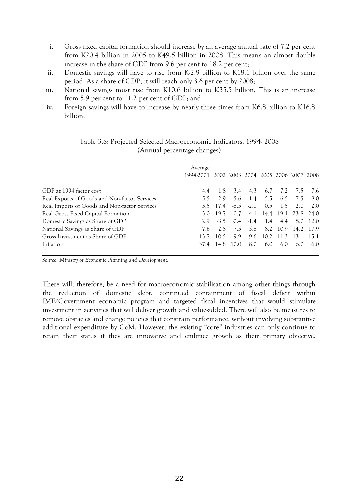- i. Gross fixed capital formation should increase by an average annual rate of 7.2 per cent from K20.4 billion in 2005 to K49.5 billion in 2008. This means an almost double increase in the share of GDP from 9.6 per cent to 18.2 per cent;
- ii. Domestic savings will have to rise from K-2.9 billion to K18.1 billion over the same period. As a share of GDP, it will reach only 3.6 per cent by 2008;
- iii. National savings must rise from K10.6 billion to K35.5 billion. This is an increase from 5.9 per cent to 11.2 per cent of GDP; and
- iv. Foreign savings will have to increase by nearly three times from K6.8 billion to K16.8 billion.

|                                               | Average                                      |                |        |        |      |          |                         |          |
|-----------------------------------------------|----------------------------------------------|----------------|--------|--------|------|----------|-------------------------|----------|
|                                               | 1994-2001 2002 2003 2004 2005 2006 2007 2008 |                |        |        |      |          |                         |          |
|                                               |                                              |                |        |        |      |          |                         |          |
| GDP at 1994 factor cost                       | 4.4                                          | -1.8           | 3.4    | 4.3    | 6.7  | 7.2      | 7.5                     | 7.6      |
| Real Exports of Goods and Non-factor Services | 5.5                                          | 2.9            | 5.6    | 1.4    | 5.5  | 6.5      | 7.5                     | 8.0      |
| Real Imports of Goods and Non-factor Services |                                              | 3.5 17.4       | $-8.5$ | $-2.0$ | 0.5  | 1.5      | 2.0                     | 2.0      |
| Real Gross Fixed Capital Formation            |                                              | $-3.0$ $-19.7$ | 0.7    |        |      |          | 4.1 14.4 19.1 23.8 24.0 |          |
| Domestic Savings as Share of GDP              | 2.9                                          | $-3.5$         | $-0.4$ | $-1.4$ | 1.4  | 4.4      |                         | 8.0 12.0 |
| National Savings as Share of GDP              | 7.6                                          | 2.8            | 7.5    | 5.8    |      | 8.2 10.9 | 14.2 17.9               |          |
| Gross Investment as Share of GDP              | 13.7                                         | 10.5           | 9.9    | 9.6    | 10.2 | 11.3     | 13.1                    | 15.1     |
| Inflation                                     | 37.4                                         | 14.8           | 10.0   | 8.0    | 6.0  | 6.0      | 6()                     | 6.0      |

#### Table 3.8: Projected Selected Macroeconomic Indicators, 1994- 2008 (Annual percentage changes)

*Source: Ministry of Economic Planning and Development.*

There will, therefore, be a need for macroeconomic stabilisation among other things through the reduction of domestic debt, continued containment of fiscal deficit within IMF/Government economic program and targeted fiscal incentives that would stimulate investment in activities that will deliver growth and value-added. There will also be measures to remove obstacles and change policies that constrain performance, without involving substantive additional expenditure by GoM. However, the existing "core" industries can only continue to retain their status if they are innovative and embrace growth as their primary objective.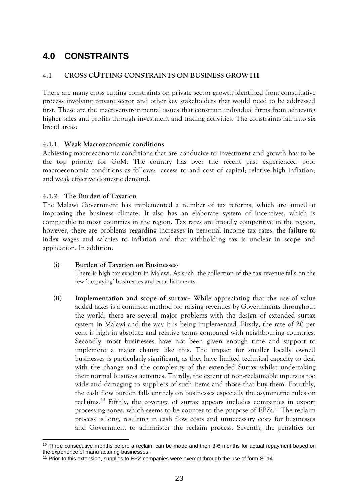# <span id="page-23-0"></span>**4.0 CONSTRAINTS**

## <span id="page-23-1"></span>**4.1 CROSS CUTTING CONSTRAINTS ON BUSINESS GROWTH**

There are many cross cutting constraints on private sector growth identified from consultative process involving private sector and other key stakeholders that would need to be addressed first. These are the macro-environmental issues that constrain individual firms from achieving higher sales and profits through investment and trading activities. The constraints fall into six broad areas:

#### <span id="page-23-2"></span>**4.1.1 Weak Macroeconomic conditions**

Achieving macroeconomic conditions that are conducive to investment and growth has to be the top priority for GoM. The country has over the recent past experienced poor macroeconomic conditions as follows: access to and cost of capital; relative high inflation; and weak effective domestic demand.

### <span id="page-23-3"></span>**4.1.2 The Burden of Taxation**

The Malawi Government has implemented a number of tax reforms, which are aimed at improving the business climate. It also has an elaborate system of incentives, which is comparable to most countries in the region. Tax rates are broadly competitive in the region, however, there are problems regarding increases in personal income tax rates, the failure to index wages and salaries to inflation and that withholding tax is unclear in scope and application. In addition:

## **(i) Burden of Taxation on Businesses**-

There is high tax evasion in Malawi. As such, the collection of the tax revenue falls on the few 'taxpaying' businesses and establishments.

**(ii) Implementation and scope of surtax–** While appreciating that the use of value added taxes is a common method for raising revenues by Governments throughout the world, there are several major problems with the design of extended surtax system in Malawi and the way it is being implemented. Firstly, the rate of 20 per cent is high in absolute and relative terms compared with neighbouring countries. Secondly, most businesses have not been given enough time and support to implement a major change like this. The impact for smaller locally owned businesses is particularly significant, as they have limited technical capacity to deal with the change and the complexity of the extended Surtax whilst undertaking their normal business activities. Thirdly, the extent of non-reclaimable inputs is too wide and damaging to suppliers of such items and those that buy them. Fourthly, the cash flow burden falls entirely on businesses especially the asymmetric rules on reclaims.<sup>10</sup> Fifthly, the coverage of surtax appears includes companies in export processing zones, which seems to be counter to the purpose of EPZs.<sup>11</sup> The reclaim process is long, resulting in cash flow costs and unnecessary costs for businesses and Government to administer the reclaim process. Seventh, the penalties for

<sup>-</sup> $10$  Three consecutive months before a reclaim can be made and then 3-6 months for actual repayment based on the experience of manufacturing businesses.

<sup>&</sup>lt;sup>11</sup> Prior to this extension, supplies to EPZ companies were exempt through the use of form ST14.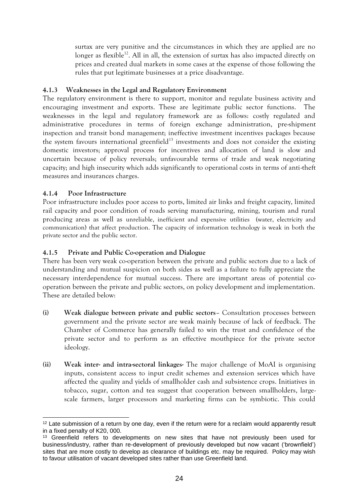surtax are very punitive and the circumstances in which they are applied are no longer as flexible<sup>12</sup>. All in all, the extension of surtax has also impacted directly on prices and created dual markets in some cases at the expense of those following the rules that put legitimate businesses at a price disadvantage.

#### <span id="page-24-0"></span>**4.1.3 Weaknesses in the Legal and Regulatory Environment**

The regulatory environment is there to support, monitor and regulate business activity and encouraging investment and exports. These are legitimate public sector functions. The weaknesses in the legal and regulatory framework are as follows: costly regulated and administrative procedures in terms of foreign exchange administration, pre-shipment inspection and transit bond management; ineffective investment incentives packages because the system favours international greenfield $13$  investments and does not consider the existing domestic investors; approval process for incentives and allocation of land is slow and uncertain because of policy reversals; unfavourable terms of trade and weak negotiating capacity; and high insecurity which adds significantly to operational costs in terms of anti-theft measures and insurances charges.

#### <span id="page-24-1"></span>**4.1.4 Poor Infrastructure**

Poor infrastructure includes poor access to ports, limited air links and freight capacity, limited rail capacity and poor condition of roads serving manufacturing, mining, tourism and rural producing areas as well as unreliable, inefficient and expensive utilities (water, electricity and communication) that affect production. The capacity of information technology is weak in both the private sector and the public sector.

#### <span id="page-24-2"></span>**4.1.5 Private and Public Co-operation and Dialogue**

There has been very weak co-operation between the private and public sectors due to a lack of understanding and mutual suspicion on both sides as well as a failure to fully appreciate the necessary interdependence for mutual success. There are important areas of potential cooperation between the private and public sectors, on policy development and implementation. These are detailed below:

- **(i) Weak dialogue between private and public sectors** Consultation processes between government and the private sector are weak mainly because of lack of feedback. The Chamber of Commerce has generally failed to win the trust and confidence of the private sector and to perform as an effective mouthpiece for the private sector ideology.
- **(ii) Weak inter- and intra-sectoral linkages-** The major challenge of MoAI is organising inputs, consistent access to input credit schemes and extension services which have affected the quality and yields of smallholder cash and subsistence crops. Initiatives in tobacco, sugar, cotton and tea suggest that cooperation between smallholders, largescale farmers, larger processors and marketing firms can be symbiotic. This could

<sup>-</sup><sup>12</sup> Late submission of a return by one day, even if the return were for a reclaim would apparently result in a fixed penalty of K20, 000.

<sup>&</sup>lt;sup>13</sup> Greenfield refers to developments on new sites that have not previously been used for business/industry, rather than re-development of previously developed but now vacant ('brownfield') sites that are more costly to develop as clearance of buildings etc. may be required. Policy may wish to favour utilisation of vacant developed sites rather than use Greenfield land.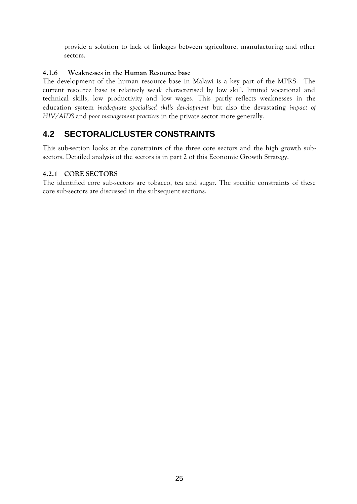provide a solution to lack of linkages between agriculture, manufacturing and other sectors.

## <span id="page-25-0"></span>**4.1.6 Weaknesses in the Human Resource base**

The development of the human resource base in Malawi is a key part of the MPRS. The current resource base is relatively weak characterised by low skill, limited vocational and technical skills, low productivity and low wages. This partly reflects weaknesses in the education system *inadequate specialised skills development* but also the devastating *impact of HIV/AIDS* and *poor management practices* in the private sector more generally.

# <span id="page-25-1"></span>**4.2 SECTORAL/CLUSTER CONSTRAINTS**

This sub-section looks at the constraints of the three core sectors and the high growth subsectors. Detailed analysis of the sectors is in part 2 of this Economic Growth Strategy.

### <span id="page-25-2"></span>**4.2.1 CORE SECTORS**

The identified core sub-sectors are tobacco, tea and sugar. The specific constraints of these core sub-sectors are discussed in the subsequent sections.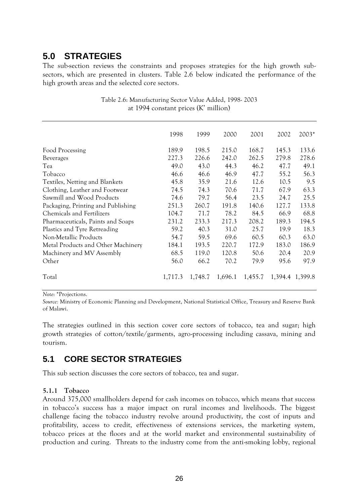# <span id="page-26-0"></span>**5.0 STRATEGIES**

The sub-section reviews the constraints and proposes strategies for the high growth subsectors, which are presented in clusters. Table 2.6 below indicated the performance of the high growth areas and the selected core sectors.

|                                    | 1998    | 1999    | 2000    | 2001    | 2002  | $2003*$         |
|------------------------------------|---------|---------|---------|---------|-------|-----------------|
| Food Processing                    | 189.9   | 198.5   | 215.0   | 168.7   | 145.3 | 133.6           |
| <b>Beverages</b>                   | 227.3   | 226.6   | 242.0   | 262.5   | 279.8 | 278.6           |
| Tea                                | 49.0    | 43.0    | 44.3    | 46.2    | 47.7  | 49.1            |
| Tobacco                            | 46.6    | 46.6    | 46.9    | 47.7    | 55.2  | 56.3            |
| Textiles, Netting and Blankets     | 45.8    | 35.9    | 21.6    | 12.6    | 10.5  | 9.5             |
| Clothing, Leather and Footwear     | 74.5    | 74.3    | 70.6    | 71.7    | 67.9  | 63.3            |
| Sawmill and Wood Products          | 74.6    | 79.7    | 56.4    | 23.5    | 24.7  | 25.5            |
| Packaging, Printing and Publishing | 251.3   | 260.7   | 191.8   | 140.6   | 127.7 | 133.8           |
| <b>Chemicals and Fertilizers</b>   | 104.7   | 71.7    | 78.2    | 84.5    | 66.9  | 68.8            |
| Pharmaceuticals, Paints and Soaps  | 231.2   | 233.3   | 217.3   | 208.2   | 189.3 | 194.5           |
| Plastics and Tyre Retreading       | 59.2    | 40.3    | 31.0    | 25.7    | 19.9  | 18.3            |
| Non-Metallic Products              | 54.7    | 59.5    | 69.6    | 60.5    | 60.3  | 63.0            |
| Metal Products and Other Machinery | 184.1   | 193.5   | 220.7   | 172.9   | 183.0 | 186.9           |
| Machinery and MV Assembly          | 68.5    | 119.0   | 120.8   | 50.6    | 20.4  | 20.9            |
| Other                              | 56.0    | 66.2    | 70.2    | 79.9    | 95.6  | 97.9            |
| Total                              | 1,717.3 | 1,748.7 | 1,696.1 | 1,455.7 |       | 1,394.4 1,399.8 |

Table 2.6: Manufacturing Sector Value Added, 1998- 2003 at 1994 constant prices (K' million)

*Note*: \*Projections.

*Source:* Ministry of Economic Planning and Development, National Statistical Office, Treasury and Reserve Bank of Malawi.

The strategies outlined in this section cover core sectors of tobacco, tea and sugar; high growth strategies of cotton/textile/garments, agro-processing including cassava, mining and tourism.

# <span id="page-26-1"></span>**5.1 CORE SECTOR STRATEGIES**

This sub section discusses the core sectors of tobacco, tea and sugar.

#### <span id="page-26-2"></span>**5.1.1 Tobacco**

Around 375,000 smallholders depend for cash incomes on tobacco, which means that success in tobacco's success has a major impact on rural incomes and livelihoods. The biggest challenge facing the tobacco industry revolve around productivity, the cost of inputs and profitability, access to credit, effectiveness of extensions services, the marketing system, tobacco prices at the floors and at the world market and environmental sustainability of production and curing. Threats to the industry come from the anti-smoking lobby, regional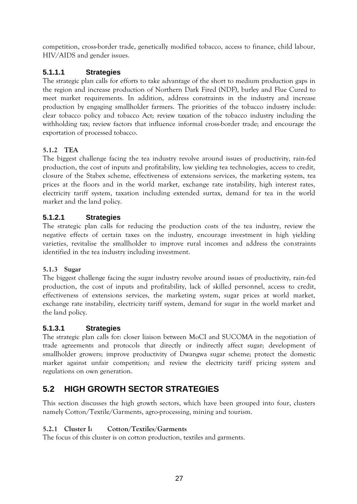competition, cross-border trade, genetically modified tobacco, access to finance, child labour, HIV/AIDS and gender issues.

# <span id="page-27-0"></span>**5.1.1.1 Strategies**

The strategic plan calls for efforts to take advantage of the short to medium production gaps in the region and increase production of Northern Dark Fired (NDF), burley and Flue Cured to meet market requirements. In addition, address constraints in the industry and increase production by engaging smallholder farmers. The priorities of the tobacco industry include: clear tobacco policy and tobacco Act; review taxation of the tobacco industry including the withholding tax; review factors that influence informal cross-border trade; and encourage the exportation of processed tobacco.

## <span id="page-27-1"></span>**5.1.2 TEA**

The biggest challenge facing the tea industry revolve around issues of productivity, rain-fed production, the cost of inputs and profitability, low yielding tea technologies, access to credit, closure of the Stabex scheme, effectiveness of extensions services, the marketing system, tea prices at the floors and in the world market, exchange rate instability, high interest rates, electricity tariff system, taxation including extended surtax, demand for tea in the world market and the land policy.

# <span id="page-27-2"></span>**5.1.2.1 Strategies**

The strategic plan calls for reducing the production costs of the tea industry, review the negative effects of certain taxes on the industry, encourage investment in high yielding varieties, revitalise the smallholder to improve rural incomes and address the constraints identified in the tea industry including investment.

## <span id="page-27-3"></span>**5.1.3 Sugar**

The biggest challenge facing the sugar industry revolve around issues of productivity, rain-fed production, the cost of inputs and profitability, lack of skilled personnel, access to credit, effectiveness of extensions services, the marketing system, sugar prices at world market, exchange rate instability, electricity tariff system, demand for sugar in the world market and the land policy.

## <span id="page-27-4"></span>**5.1.3.1 Strategies**

The strategic plan calls for: closer liaison between MoCI and SUCOMA in the negotiation of trade agreements and protocols that directly or indirectly affect sugar; development of smallholder growers; improve productivity of Dwangwa sugar scheme; protect the domestic market against unfair competition; and review the electricity tariff pricing system and regulations on own generation.

# <span id="page-27-5"></span>**5.2 HIGH GROWTH SECTOR STRATEGIES**

This section discusses the high growth sectors, which have been grouped into four, clusters namely Cotton/Textile/Garments, agro-processing, mining and tourism.

## <span id="page-27-6"></span>**5.2.1 Cluster I: Cotton/Textiles/Garments**

The focus of this cluster is on cotton production, textiles and garments.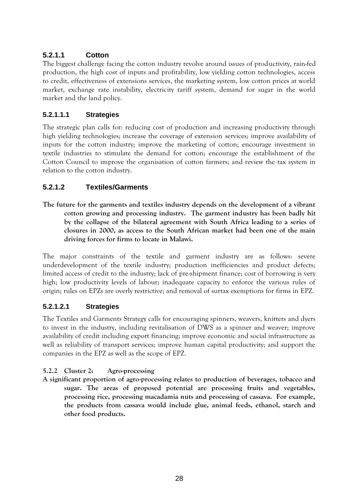# <span id="page-28-0"></span>**5.2.1.1 Cotton**

The biggest challenge facing the cotton industry revolve around issues of productivity, rain-fed production, the high cost of inputs and profitability, low yielding cotton technologies, access to credit, effectiveness of extensions services, the marketing system, low cotton prices at world market, exchange rate instability, electricity tariff system, demand for sugar in the world market and the land policy.

## **5.2.1.1.1 Strategies**

The strategic plan calls for: reducing cost of production and increasing productivity through high yielding technologies; increase the coverage of extension services; improve availability of inputs for the cotton industry; improve the marketing of cotton; encourage investment in textile industries to stimulate the demand for cotton; encourage the establishment of the Cotton Council to improve the organisation of cotton farmers; and review the tax system in relation to the cotton industry.

# <span id="page-28-1"></span>**5.2.1.2 Textiles/Garments**

**The future for the garments and textiles industry depends on the development of a vibrant cotton growing and processing industry. The garment industry has been badly hit by the collapse of the bilateral agreement with South Africa leading to a series of closures in 2000, as access to the South African market had been one of the main driving forces for firms to locate in Malawi.**

The major constraints of the textile and garment industry are as follows: severe underdevelopment of the textile industry; production inefficiencies and product defects; limited access of credit to the industry; lack of pre-shipment finance; cost of borrowing is very high; low productivity levels of labour; inadequate capacity to enforce the various rules of origin; rules on EPZs are overly restrictive; and removal of surtax exemptions for firms in EPZ.

## **5.2.1.2.1 Strategies**

The Textiles and Garments Strategy calls for encouraging spinners, weavers, knitters and dyers to invest in the industry, including revitalisation of DWS as a spinner and weaver; improve availability of credit including export financing; improve economic and social infrastructure as well as reliability of transport services; improve human capital productivity; and support the companies in the EPZ as well as the scope of EPZ.

## <span id="page-28-2"></span>**5.2.2 Cluster 2: Agro-processing**

**A significant proportion of agro-processing relates to production of beverages, tobacco and sugar. The areas of proposed potential are processing fruits and vegetables, processing rice, processing macadamia nuts and processing of cassava. For example, the products from cassava would include glue, animal feeds, ethanol, starch and other food products.**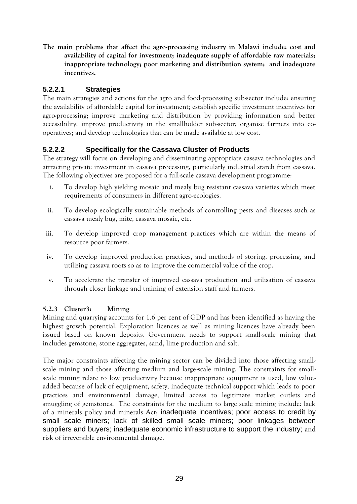**The main problems that affect the agro-processing industry in Malawi include: cost and availability of capital for investment; inadequate supply of affordable raw materials; inappropriate technology; poor marketing and distribution system; and inadequate incentives.**

# <span id="page-29-0"></span>**5.2.2.1 Strategies**

The main strategies and actions for the agro and food-processing sub-sector include: ensuring the availability of affordable capital for investment; establish specific investment incentives for agro-processing; improve marketing and distribution by providing information and better accessibility; improve productivity in the smallholder sub-sector; organise farmers into cooperatives; and develop technologies that can be made available at low cost.

# <span id="page-29-1"></span>**5.2.2.2 Specifically for the Cassava Cluster of Products**

The strategy will focus on developing and disseminating appropriate cassava technologies and attracting private investment in cassava processing, particularly industrial starch from cassava. The following objectives are proposed for a full-scale cassava development programme:

- i. To develop high yielding mosaic and mealy bug resistant cassava varieties which meet requirements of consumers in different agro-ecologies.
- ii. To develop ecologically sustainable methods of controlling pests and diseases such as cassava mealy bug, mite, cassava mosaic, etc.
- iii. To develop improved crop management practices which are within the means of resource poor farmers.
- iv. To develop improved production practices, and methods of storing, processing, and utilizing cassava roots so as to improve the commercial value of the crop.
- v. To accelerate the transfer of improved cassava production and utilisation of cassava through closer linkage and training of extension staff and farmers.

## <span id="page-29-2"></span>**5.2.3 Cluster3: Mining**

Mining and quarrying accounts for 1.6 per cent of GDP and has been identified as having the highest growth potential. Exploration licences as well as mining licences have already been issued based on known deposits. Government needs to support small-scale mining that includes gemstone, stone aggregates, sand, lime production and salt.

The major constraints affecting the mining sector can be divided into those affecting smallscale mining and those affecting medium and large-scale mining. The constraints for smallscale mining relate to low productivity because inappropriate equipment is used, low valueadded because of lack of equipment, safety, inadequate technical support which leads to poor practices and environmental damage, limited access to legitimate market outlets and smuggling of gemstones. The constraints for the medium to large scale mining include: lack of a minerals policy and minerals Act; inadequate incentives; poor access to credit by small scale miners; lack of skilled small scale miners; poor linkages between suppliers and buyers; inadequate economic infrastructure to support the industry; and risk of irreversible environmental damage.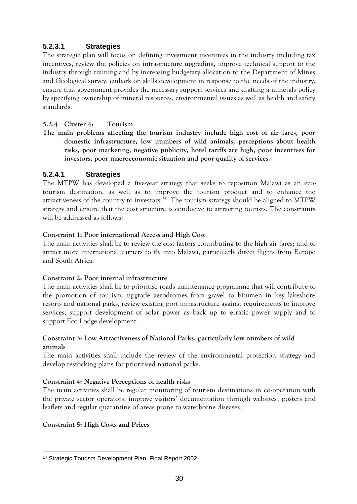# <span id="page-30-0"></span>**5.2.3.1 Strategies**

The strategic plan will focus on defining investment incentives in the industry including tax incentives, review the policies on infrastructure upgrading, improve technical support to the industry through training and by increasing budgetary allocation to the Department of Mines and Geological survey, embark on skills development in response to the needs of the industry, ensure that government provides the necessary support services and drafting a minerals policy by specifying ownership of mineral resources, environmental issues as well as health and safety standards.

#### <span id="page-30-1"></span>**5.2.4 Cluster 4: Tourism**

**The main problems affecting the tourism industry include high cost of air fares, poor domestic infrastructure, low numbers of wild animals, perceptions about health risks, poor marketing, negative publicity, hotel tariffs are high, poor incentives for investors, poor macroeconomic situation and poor quality of services.** 

## <span id="page-30-2"></span>**5.2.4.1 Strategies**

The MTPW has developed a five-year strategy that seeks to reposition Malawi as an ecotourism destination, as well as to improve the tourism product and to enhance the attractiveness of the country to investors.<sup>14</sup> The tourism strategy should be aligned to MTPW strategy and ensure that the cost structure is conducive to attracting tourists. The constraints will be addressed as follows:

#### **Constraint 1: Poor international Access and High Cost**

The main activities shall be to review the cost factors contributing to the high air fares; and to attract more international carriers to fly into Malawi, particularly direct flights from Europe and South Africa.

#### **Constraint 2: Poor internal infrastructure**

The main activities shall be to prioritise roads maintenance programme that will contribute to the promotion of tourism, upgrade aerodromes from gravel to bitumen in key lakeshore resorts and national parks, review existing port infrastructure against requirements to improve services, support development of solar power as back up to erratic power supply and to support Eco Lodge development.

#### **Constraint 3: Low Attractiveness of National Parks, particularly low numbers of wild animals**

The main activities shall include the review of the environmental protection strategy and develop restocking plans for prioritised national parks.

#### **Constraint 4: Negative Perceptions of health risks**

The main activities shall be regular monitoring of tourism destinations in co-operation with the private sector operators, improve visitors' documentation through websites, posters and leaflets and regular quarantine of areas prone to waterborne diseases.

#### **Constraint 5: High Costs and Prices**

<sup>-</sup><sup>14</sup> Strategic Tourism Development Plan, Final Report 2002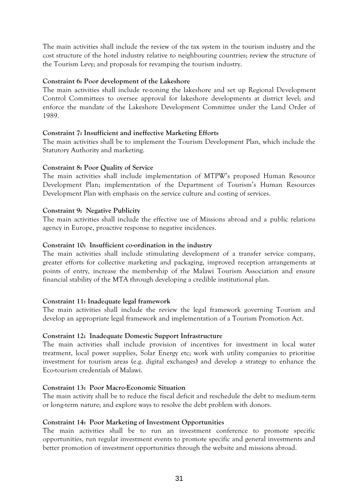The main activities shall include the review of the tax system in the tourism industry and the cost structure of the hotel industry relative to neighbouring countries; review the structure of the Tourism Levy; and proposals for revamping the tourism industry.

#### **Constraint 6: Poor development of the Lakeshore**

The main activities shall include re-zoning the lakeshore and set up Regional Development Control Committees to oversee approval for lakeshore developments at district level; and enforce the mandate of the Lakeshore Development Committee under the Land Order of 1989.

#### **Constraint 7: Insufficient and ineffective Marketing Efforts**

The main activities shall be to implement the Tourism Development Plan, which include the Statutory Authority and marketing.

#### **Constraint 8: Poor Quality of Service**

The main activities shall include implementation of MTPW's proposed Human Resource Development Plan; implementation of the Department of Tourism's Human Resources Development Plan with emphasis on the service culture and costing of services.

#### **Constraint 9: Negative Publicity**

The main activities shall include the effective use of Missions abroad and a public relations agency in Europe, proactive response to negative incidences.

#### **Constraint 10: Insufficient co-ordination in the industry**

The main activities shall include stimulating development of a transfer service company, greater efforts for collective marketing and packaging, improved reception arrangements at points of entry, increase the membership of the Malawi Tourism Association and ensure financial stability of the MTA through developing a credible institutional plan.

#### **Constraint 11: Inadequate legal framework**

The main activities shall include the review the legal framework governing Tourism and develop an appropriate legal framework and implementation of a Tourism Promotion Act.

#### **Constraint 12: Inadequate Domestic Support Infrastructure**

The main activities shall include provision of incentives for investment in local water treatment, local power supplies, Solar Energy etc; work with utility companies to prioritise investment for tourism areas (e.g. digital exchanges) and develop a strategy to enhance the Eco-tourism credentials of Malawi.

#### **Constraint 13: Poor Macro-Economic Situation**

The main activity shall be to reduce the fiscal deficit and reschedule the debt to medium-term or long-term nature; and explore ways to resolve the debt problem with donors.

#### **Constraint 14: Poor Marketing of Investment Opportunities**

The main activities shall be to run an investment conference to promote specific opportunities, run regular investment events to promote specific and general investments and better promotion of investment opportunities through the website and missions abroad.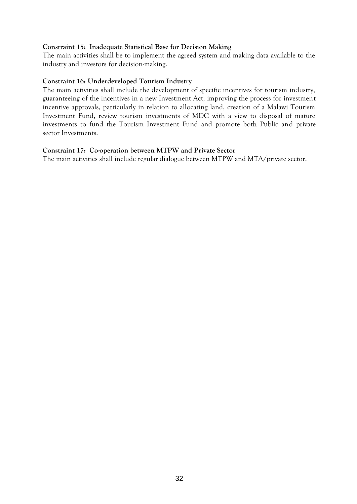#### **Constraint 15: Inadequate Statistical Base for Decision Making**

The main activities shall be to implement the agreed system and making data available to the industry and investors for decision-making.

#### **Constraint 16: Underdeveloped Tourism Industry**

The main activities shall include the development of specific incentives for tourism industry, guaranteeing of the incentives in a new Investment Act, improving the process for investment incentive approvals, particularly in relation to allocating land, creation of a Malawi Tourism Investment Fund, review tourism investments of MDC with a view to disposal of mature investments to fund the Tourism Investment Fund and promote both Public and private sector Investments.

#### **Constraint 17: Co-operation between MTPW and Private Sector**

The main activities shall include regular dialogue between MTPW and MTA/private sector.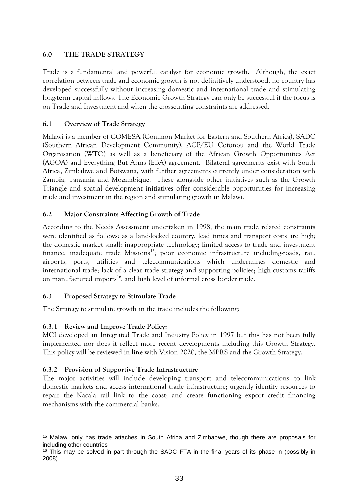## <span id="page-33-0"></span>**6.0 THE TRADE STRATEGY**

Trade is a fundamental and powerful catalyst for economic growth. Although, the exact correlation between trade and economic growth is not definitively understood, no country has developed successfully without increasing domestic and international trade and stimulating long-term capital inflows. The Economic Growth Strategy can only be successful if the focus is on Trade and Investment and when the crosscutting constraints are addressed.

#### <span id="page-33-1"></span>**6.1 Overview of Trade Strategy**

Malawi is a member of COMESA (Common Market for Eastern and Southern Africa), SADC (Southern African Development Community), ACP/EU Cotonou and the World Trade Organisation (WTO) as well as a beneficiary of the African Growth Opportunities Act (AGOA) and Everything But Arms (EBA) agreement. Bilateral agreements exist with South Africa, Zimbabwe and Botswana, with further agreements currently under consideration with Zambia, Tanzania and Mozambique. These alongside other initiatives such as the Growth Triangle and spatial development initiatives offer considerable opportunities for increasing trade and investment in the region and stimulating growth in Malawi.

### <span id="page-33-2"></span>**6.2 Major Constraints Affecting Growth of Trade**

According to the Needs Assessment undertaken in 1998, the main trade related constraints were identified as follows: as a land-locked country, lead times and transport costs are high; the domestic market small; inappropriate technology; limited access to trade and investment finance; inadequate trade Missions<sup>15</sup>; poor economic infrastructure including-roads, rail, airports, ports, utilities and telecommunications which undermines domestic and international trade; lack of a clear trade strategy and supporting policies; high customs tariffs on manufactured imports<sup>16</sup>; and high level of informal cross border trade.

#### <span id="page-33-3"></span>**6.3 Proposed Strategy to Stimulate Trade**

The Strategy to stimulate growth in the trade includes the following:

## <span id="page-33-4"></span>**6.3.1 Review and Improve Trade Policy:**

MCI developed an Integrated Trade and Industry Policy in 1997 but this has not been fully implemented nor does it reflect more recent developments including this Growth Strategy. This policy will be reviewed in line with Vision 2020, the MPRS and the Growth Strategy.

#### <span id="page-33-5"></span>**6.3.2 Provision of Supportive Trade Infrastructure**

The major activities will include developing transport and telecommunications to link domestic markets and access international trade infrastructure; urgently identify resources to repair the Nacala rail link to the coast; and create functioning export credit financing mechanisms with the commercial banks.

<sup>-</sup><sup>15</sup> Malawi only has trade attaches in South Africa and Zimbabwe, though there are proposals for including other countries

<sup>&</sup>lt;sup>16</sup> This may be solved in part through the SADC FTA in the final years of its phase in (possibly in 2008).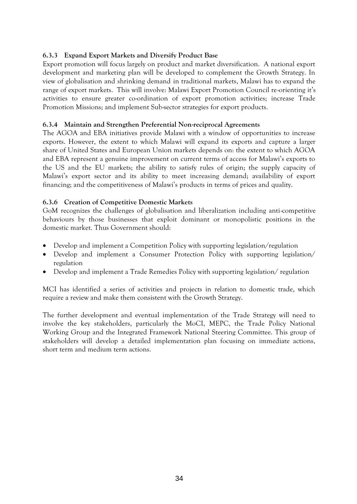### <span id="page-34-0"></span>**6.3.3 Expand Export Markets and Diversify Product Base**

Export promotion will focus largely on product and market diversification. A national export development and marketing plan will be developed to complement the Growth Strategy. In view of globalisation and shrinking demand in traditional markets, Malawi has to expand the range of export markets. This will involve: Malawi Export Promotion Council re-orienting it's activities to ensure greater co-ordination of export promotion activities; increase Trade Promotion Missions; and implement Sub-sector strategies for export products.

#### <span id="page-34-1"></span>**6.3.4 Maintain and Strengthen Preferential Non-reciprocal Agreements**

The AGOA and EBA initiatives provide Malawi with a window of opportunities to increase exports. However, the extent to which Malawi will expand its exports and capture a larger share of United States and European Union markets depends on: the extent to which AGOA and EBA represent a genuine improvement on current terms of access for Malawi's exports to the US and the EU markets; the ability to satisfy rules of origin; the supply capacity of Malawi's export sector and its ability to meet increasing demand; availability of export financing; and the competitiveness of Malawi's products in terms of prices and quality.

#### <span id="page-34-2"></span>**6.3.6 Creation of Competitive Domestic Markets**

GoM recognizes the challenges of globalisation and liberalization including anti-competitive behaviours by those businesses that exploit dominant or monopolistic positions in the domestic market. Thus Government should:

- Develop and implement a Competition Policy with supporting legislation/regulation
- Develop and implement a Consumer Protection Policy with supporting legislation/ regulation
- Develop and implement a Trade Remedies Policy with supporting legislation/ regulation

MCI has identified a series of activities and projects in relation to domestic trade, which require a review and make them consistent with the Growth Strategy.

The further development and eventual implementation of the Trade Strategy will need to involve the key stakeholders, particularly the MoCI, MEPC, the Trade Policy National Working Group and the Integrated Framework National Steering Committee. This group of stakeholders will develop a detailed implementation plan focusing on immediate actions, short term and medium term actions.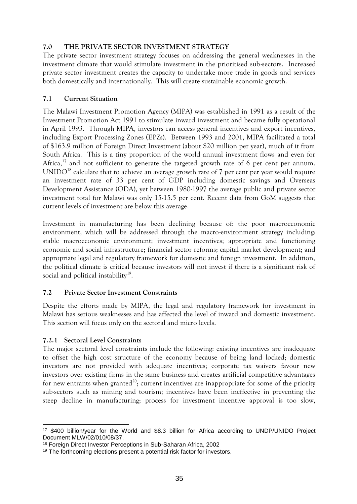#### <span id="page-35-0"></span>**7.0 THE PRIVATE SECTOR INVESTMENT STRATEGY**

The private sector investment strategy focuses on addressing the general weaknesses in the investment climate that would stimulate investment in the prioritised sub-sectors. Increased private sector investment creates the capacity to undertake more trade in goods and services both domestically and internationally. This will create sustainable economic growth.

### <span id="page-35-1"></span>**7.1 Current Situation**

The Malawi Investment Promotion Agency (MIPA) was established in 1991 as a result of the Investment Promotion Act 1991 to stimulate inward investment and became fully operational in April 1993. Through MIPA, investors can access general incentives and export incentives, including Export Processing Zones (EPZs). Between 1993 and 2001, MIPA facilitated a total of \$163.9 million of Foreign Direct Investment (about \$20 million per year), much of it from South Africa. This is a tiny proportion of the world annual investment flows and even for Africa,<sup>17</sup> and not sufficient to generate the targeted growth rate of 6 per cent per annum. UNIDO<sup>18</sup> calculate that to achieve an average growth rate of  $7$  per cent per year would require an investment rate of 33 per cent of GDP including domestic savings and Overseas Development Assistance (ODA), yet between 1980-1997 the average public and private sector investment total for Malawi was only 15-15.5 per cent. Recent data from GoM suggests that current levels of investment are below this average.

Investment in manufacturing has been declining because of: the poor macroeconomic environment, which will be addressed through the macro-environment strategy including: stable macroeconomic environment; investment incentives; appropriate and functioning economic and social infrastructure; financial sector reforms; capital market development; and appropriate legal and regulatory framework for domestic and foreign investment. In addition, the political climate is critical because investors will not invest if there is a significant risk of social and political instability<sup>19</sup>.

#### <span id="page-35-2"></span>**7.2 Private Sector Investment Constraints**

Despite the efforts made by MIPA, the legal and regulatory framework for investment in Malawi has serious weaknesses and has affected the level of inward and domestic investment. This section will focus only on the sectoral and micro levels.

## <span id="page-35-3"></span>**7.2.1 Sectoral Level Constraints**

The major sectoral level constraints include the following: existing incentives are inadequate to offset the high cost structure of the economy because of being land locked; domestic investors are not provided with adequate incentives; corporate tax waivers favour new investors over existing firms in the same business and creates artificial competitive advantages for new entrants when granted<sup>20</sup>; current incentives are inappropriate for some of the priority sub-sectors such as mining and tourism; incentives have been ineffective in preventing the steep decline in manufacturing; process for investment incentive approval is too slow,

<sup>-</sup><sup>17</sup> \$400 billion/year for the World and \$8.3 billion for Africa according to UNDP/UNIDO Project Document MLW/02/010/08/37.

<sup>18</sup> Foreign Direct Investor Perceptions in Sub-Saharan Africa, 2002

<sup>&</sup>lt;sup>19</sup> The forthcoming elections present a potential risk factor for investors.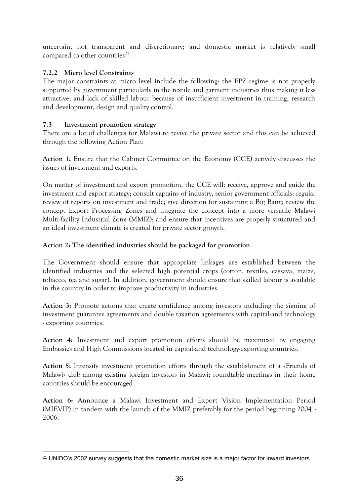uncertain, not transparent and discretionary; and domestic market is relatively small compared to other countries $^{21}$ .

## <span id="page-36-0"></span>**7.2.2 Micro level Constraints**

The major constraints at micro level include the following: the EPZ regime is not properly supported by government particularly in the textile and garment industries thus making it less attractive; and lack of skilled labour because of insufficient investment in training, research and development, design and quality control.

## **7.3 Investment promotion strategy**

There are a lot of challenges for Malawi to revive the private sector and this can be achieved through the following Action Plan:

**Action 1:** Ensure that the Cabinet Committee on the Economy (CCE) actively discusses the issues of investment and exports.

On matter of investment and export promotion, the CCE will: receive, approve and guide the investment and export strategy; consult captains of industry, senior government officials; regular review of reports on investment and trade; give direction for sustaining a Big Bang; review the concept Export Processing Zones and integrate the concept into a more versatile Malawi Multi-facility Industrial Zone (MMIZ); and ensure that incentives are properly structured and an ideal investment climate is created for private sector growth.

## **Action 2: The identified industries should be packaged for promotion**.

The Government should ensure that appropriate linkages are established between the identified industries and the selected high potential crops (cotton, textiles, cassava, maize, tobacco, tea and sugar). In addition, government should ensure that skilled labour is available in the country in order to improve productivity in industries.

**Action 3:** Promote actions that create confidence among investors including the signing of investment guarantee agreements and double taxation agreements with capital-and technology - exporting countries.

**Action 4:** Investment and export promotion efforts should be maximized by engaging Embassies and High Commissions located in capital-and technology-exporting countries.

**Action 5:** Intensify investment promotion efforts through the establishment of a «Friends of Malawi» club among existing foreign investors in Malawi; roundtable meetings in their home countries should be encouraged

**Action 6:** Announce a Malawi Investment and Export Vision Implementation Period (MIEVIP) in tandem with the launch of the MMIZ preferably for the period beginning 2004 - 2006.

<sup>-</sup><sup>21</sup> UNIDO's 2002 survey suggests that the domestic market size is a major factor for inward investors.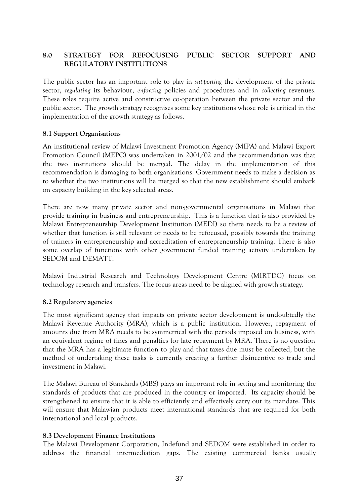## <span id="page-37-0"></span>**8.0 STRATEGY FOR REFOCUSING PUBLIC SECTOR SUPPORT AND REGULATORY INSTITUTIONS**

The public sector has an important role to play in *supporting* the development of the private sector, *regulating* its behaviour, *enforcing* policies and procedures and in *collecting* revenues. These roles require active and constructive co-operation between the private sector and the public sector. The growth strategy recognises some key institutions whose role is critical in the implementation of the growth strategy as follows.

#### <span id="page-37-1"></span>**8.1 Support Organisations**

An institutional review of Malawi Investment Promotion Agency (MIPA) and Malawi Export Promotion Council (MEPC) was undertaken in 2001/02 and the recommendation was that the two institutions should be merged. The delay in the implementation of this recommendation is damaging to both organisations. Government needs to make a decision as to whether the two institutions will be merged so that the new establishment should embark on capacity building in the key selected areas.

There are now many private sector and non-governmental organisations in Malawi that provide training in business and entrepreneurship. This is a function that is also provided by Malawi Entrepreneurship Development Institution (MEDI) so there needs to be a review of whether that function is still relevant or needs to be refocused, possibly towards the training of trainers in entrepreneurship and accreditation of entrepreneurship training. There is also some overlap of functions with other government funded training activity undertaken by SEDOM and DEMATT.

Malawi Industrial Research and Technology Development Centre (MIRTDC) focus on technology research and transfers. The focus areas need to be aligned with growth strategy.

#### <span id="page-37-2"></span>**8.2 Regulatory agencies**

The most significant agency that impacts on private sector development is undoubtedly the Malawi Revenue Authority (MRA), which is a public institution. However, repayment of amounts due from MRA needs to be symmetrical with the periods imposed on business, with an equivalent regime of fines and penalties for late repayment by MRA. There is no question that the MRA has a legitimate function to play and that taxes due must be collected, but the method of undertaking these tasks is currently creating a further disincentive to trade and investment in Malawi.

The Malawi Bureau of Standards (MBS) plays an important role in setting and monitoring the standards of products that are produced in the country or imported. Its capacity should be strengthened to ensure that it is able to efficiently and effectively carry out its mandate. This will ensure that Malawian products meet international standards that are required for both international and local products.

#### <span id="page-37-3"></span>**8.3 Development Finance Institutions**

The Malawi Development Corporation, Indefund and SEDOM were established in order to address the financial intermediation gaps. The existing commercial banks usually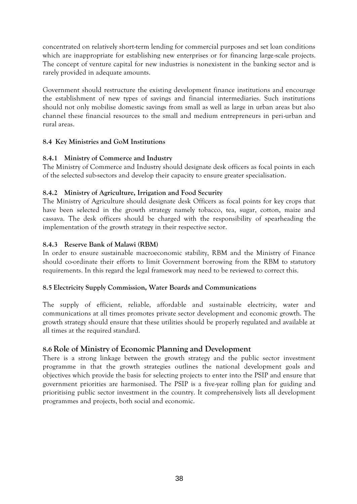concentrated on relatively short-term lending for commercial purposes and set loan conditions which are inappropriate for establishing new enterprises or for financing large-scale projects. The concept of venture capital for new industries is nonexistent in the banking sector and is rarely provided in adequate amounts.

Government should restructure the existing development finance institutions and encourage the establishment of new types of savings and financial intermediaries. Such institutions should not only mobilise domestic savings from small as well as large in urban areas but also channel these financial resources to the small and medium entrepreneurs in peri-urban and rural areas.

### <span id="page-38-0"></span>**8.4 Key Ministries and GoM Institutions**

### <span id="page-38-1"></span>**8.4.1 Ministry of Commerce and Industry**

The Ministry of Commerce and Industry should designate desk officers as focal points in each of the selected sub-sectors and develop their capacity to ensure greater specialisation.

## <span id="page-38-2"></span>**8.4.2 Ministry of Agriculture, Irrigation and Food Security**

The Ministry of Agriculture should designate desk Officers as focal points for key crops that have been selected in the growth strategy namely tobacco, tea, sugar, cotton, maize and cassava. The desk officers should be charged with the responsibility of spearheading the implementation of the growth strategy in their respective sector.

### <span id="page-38-3"></span>**8.4.3 Reserve Bank of Malawi (RBM)**

In order to ensure sustainable macroeconomic stability, RBM and the Ministry of Finance should co-ordinate their efforts to limit Government borrowing from the RBM to statutory requirements. In this regard the legal framework may need to be reviewed to correct this.

#### **8.5 Electricity Supply Commission, Water Boards and Communications**

The supply of efficient, reliable, affordable and sustainable electricity, water and communications at all times promotes private sector development and economic growth. The growth strategy should ensure that these utilities should be properly regulated and available at all times at the required standard.

# **8.6 Role of Ministry of Economic Planning and Development**

There is a strong linkage between the growth strategy and the public sector investment programme in that the growth strategies outlines the national development goals and objectives which provide the basis for selecting projects to enter into the PSIP and ensure that government priorities are harmonised. The PSIP is a five-year rolling plan for guiding and prioritising public sector investment in the country. It comprehensively lists all development programmes and projects, both social and economic.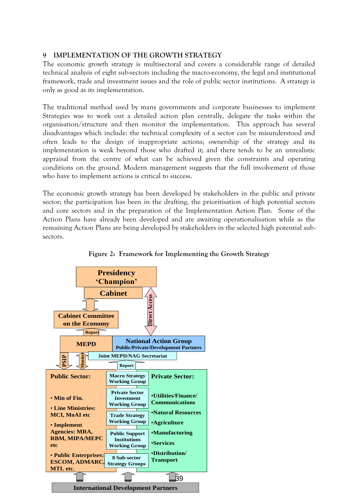#### <span id="page-39-0"></span>**9 IMPLEMENTATION OF THE GROWTH STRATEGY**

The economic growth strategy is multisectoral and covers a considerable range of detailed technical analysis of eight sub-sectors including the macro-economy, the legal and institutional framework, trade and investment issues and the role of public sector institutions. A strategy is only as good as its implementation.

The traditional method used by many governments and corporate businesses to implement Strategies was to work out a detailed action plan centrally, delegate the tasks within the organisation/structure and then monitor the implementation. This approach has several disadvantages which include: the technical complexity of a sector can be misunderstood and often leads to the design of inappropriate actions; ownership of the strategy and its implementation is weak beyond those who drafted it; and there tends to be an unrealistic appraisal from the centre of what can be achieved given the constraints and operating conditions on the ground. Modern management suggests that the full involvement of those who have to implement actions is critical to success.

The economic growth strategy has been developed by stakeholders in the public and private sector; the participation has been in the drafting, the prioritisation of high potential sectors and core sectors and in the preparation of the Implementation Action Plan. Some of the Action Plans have already been developed and are awaiting operationalisation while as the remaining Action Plans are being developed by stakeholders in the selected high potential subsectors.



**Figure 2: Framework for Implementing the Growth Strategy**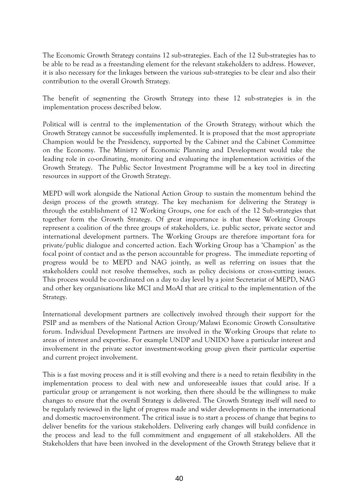The Economic Growth Strategy contains 12 sub-strategies. Each of the 12 Sub-strategies has to be able to be read as a freestanding element for the relevant stakeholders to address. However, it is also necessary for the linkages between the various sub-strategies to be clear and also their contribution to the overall Growth Strategy.

The benefit of segmenting the Growth Strategy into these 12 sub-strategies is in the implementation process described below.

Political will is central to the implementation of the Growth Strategy; without which the Growth Strategy cannot be successfully implemented. It is proposed that the most appropriate Champion would be the Presidency, supported by the Cabinet and the Cabinet Committee on the Economy. The Ministry of Economic Planning and Development would take the leading role in co-ordinating, monitoring and evaluating the implementation activities of the Growth Strategy. The Public Sector Investment Programme will be a key tool in directing resources in support of the Growth Strategy.

MEPD will work alongside the National Action Group to sustain the momentum behind the design process of the growth strategy. The key mechanism for delivering the Strategy is through the establishment of 12 Working Groups, one for each of the 12 Sub-strategies that together form the Growth Strategy. Of great importance is that these Working Groups represent a coalition of the three groups of stakeholders, i.e. public sector, private sector and international development partners. The Working Groups are therefore important fora for private/public dialogue and concerted action. Each Working Group has a 'Champion' as the focal point of contact and as the person accountable for progress. The immediate reporting of progress would be to MEPD and NAG jointly, as well as referring on issues that the stakeholders could not resolve themselves, such as policy decisions or cross-cutting issues. This process would be co-ordinated on a day to day level by a joint Secretariat of MEPD, NAG and other key organisations like MCI and MoAI that are critical to the implementation of the Strategy.

International development partners are collectively involved through their support for the PSIP and as members of the National Action Group/Malawi Economic Growth Consultative forum. Individual Development Partners are involved in the Working Groups that relate to areas of interest and expertise. For example UNDP and UNIDO have a particular interest and involvement in the private sector investment-working group given their particular expertise and current project involvement.

This is a fast moving process and it is still evolving and there is a need to retain flexibility in the implementation process to deal with new and unforeseeable issues that could arise. If a particular group or arrangement is not working, then there should be the willingness to make changes to ensure that the overall Strategy is delivered. The Growth Strategy itself will need to be regularly reviewed in the light of progress made and wider developments in the international and domestic macro-environment. The critical issue is to start a process of change that begins to deliver benefits for the various stakeholders. Delivering early changes will build confidence in the process and lead to the full commitment and engagement of all stakeholders. All the Stakeholders that have been involved in the development of the Growth Strategy believe that it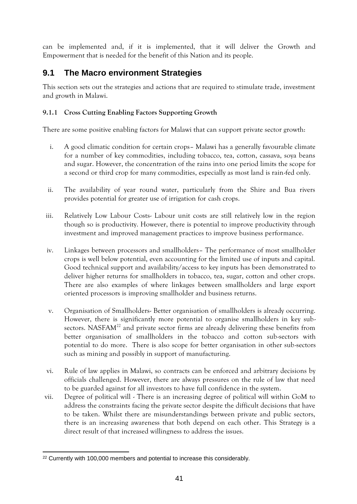can be implemented and, if it is implemented, that it will deliver the Growth and Empowerment that is needed for the benefit of this Nation and its people.

# <span id="page-41-0"></span>**9.1 The Macro environment Strategies**

This section sets out the strategies and actions that are required to stimulate trade, investment and growth in Malawi.

## <span id="page-41-1"></span>**9.1.1 Cross Cutting Enabling Factors Supporting Growth**

There are some positive enabling factors for Malawi that can support private sector growth:

- i. A good climatic condition for certain crops– Malawi has a generally favourable climate for a number of key commodities, including tobacco, tea, cotton, cassava, soya beans and sugar. However, the concentration of the rains into one period limits the scope for a second or third crop for many commodities, especially as most land is rain-fed only.
- ii. The availability of year round water, particularly from the Shire and Bua rivers provides potential for greater use of irrigation for cash crops.
- iii. Relatively Low Labour Costs- Labour unit costs are still relatively low in the region though so is productivity. However, there is potential to improve productivity through investment and improved management practices to improve business performance.
- iv. Linkages between processors and smallholders– The performance of most smallholder crops is well below potential, even accounting for the limited use of inputs and capital. Good technical support and availability/access to key inputs has been demonstrated to deliver higher returns for smallholders in tobacco, tea, sugar, cotton and other crops. There are also examples of where linkages between smallholders and large export oriented processors is improving smallholder and business returns.
- v. Organisation of Smallholders- Better organisation of smallholders is already occurring. However, there is significantly more potential to organise smallholders in key subsectors. NASFA $M<sup>22</sup>$  and private sector firms are already delivering these benefits from better organisation of smallholders in the tobacco and cotton sub-sectors with potential to do more. There is also scope for better organisation in other sub-sectors such as mining and possibly in support of manufacturing.
- vi. Rule of law applies in Malawi, so contracts can be enforced and arbitrary decisions by officials challenged. However, there are always pressures on the rule of law that need to be guarded against for all investors to have full confidence in the system.
- vii. Degree of political will There is an increasing degree of political will within GoM to address the constraints facing the private sector despite the difficult decisions that have to be taken. Whilst there are misunderstandings between private and public sectors, there is an increasing awareness that both depend on each other. This Strategy is a direct result of that increased willingness to address the issues.

<sup>-</sup><sup>22</sup> Currently with 100,000 members and potential to increase this considerably.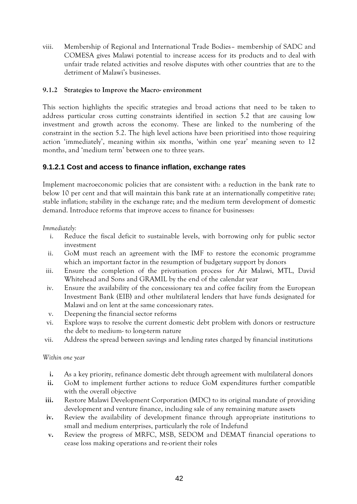viii. Membership of Regional and International Trade Bodies– membership of SADC and COMESA gives Malawi potential to increase access for its products and to deal with unfair trade related activities and resolve disputes with other countries that are to the detriment of Malawi's businesses.

#### <span id="page-42-0"></span>**9.1.2 Strategies to Improve the Macro- environment**

This section highlights the specific strategies and broad actions that need to be taken to address particular cross cutting constraints identified in section 5.2 that are causing low investment and growth across the economy. These are linked to the numbering of the constraint in the section 5.2. The high level actions have been prioritised into those requiring action 'immediately', meaning within six months, 'within one year' meaning seven to 12 months, and 'medium term' between one to three years.

## <span id="page-42-1"></span>**9.1.2.1 Cost and access to finance inflation, exchange rates**

Implement macroeconomic policies that are consistent with: a reduction in the bank rate to below 10 per cent and that will maintain this bank rate at an internationally competitive rate; stable inflation; stability in the exchange rate; and the medium term development of domestic demand. Introduce reforms that improve access to finance for businesses:

*Immediately:*

- i. Reduce the fiscal deficit to sustainable levels, with borrowing only for public sector investment
- ii. GoM must reach an agreement with the IMF to restore the economic programme which an important factor in the resumption of budgetary support by donors
- iii. Ensure the completion of the privatisation process for Air Malawi, MTL, David Whitehead and Sons and GRAMIL by the end of the calendar year
- iv. Ensure the availability of the concessionary tea and coffee facility from the European Investment Bank (EIB) and other multilateral lenders that have funds designated for Malawi and on lent at the same concessionary rates.
- v. Deepening the financial sector reforms
- vi. Explore ways to resolve the current domestic debt problem with donors or restructure the debt to medium- to long-term nature
- vii. Address the spread between savings and lending rates charged by financial institutions

#### *Within one year*

- **i.** As a key priority, refinance domestic debt through agreement with multilateral donors
- **ii.** GoM to implement further actions to reduce GoM expenditures further compatible with the overall objective
- **iii.** Restore Malawi Development Corporation (MDC) to its original mandate of providing development and venture finance, including sale of any remaining mature assets
- **iv.** Review the availability of development finance through appropriate institutions to small and medium enterprises, particularly the role of Indefund
- **v.** Review the progress of MRFC, MSB, SEDOM and DEMAT financial operations to cease loss making operations and re-orient their roles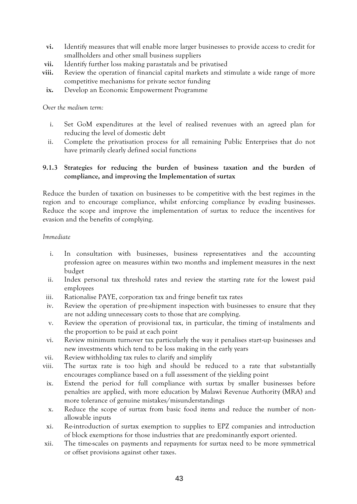- **vi.** Identify measures that will enable more larger businesses to provide access to credit for smallholders and other small business suppliers
- **vii.** Identify further loss making parastatals and be privatised
- **viii.** Review the operation of financial capital markets and stimulate a wide range of more competitive mechanisms for private sector funding
	- **ix.** Develop an Economic Empowerment Programme

*Over the medium term:*

- i. Set GoM expenditures at the level of realised revenues with an agreed plan for reducing the level of domestic debt
- ii. Complete the privatisation process for all remaining Public Enterprises that do not have primarily clearly defined social functions

#### <span id="page-43-0"></span>**9.1.3 Strategies for reducing the burden of business taxation and the burden of compliance, and improving the Implementation of surtax**

Reduce the burden of taxation on businesses to be competitive with the best regimes in the region and to encourage compliance, whilst enforcing compliance by evading businesses. Reduce the scope and improve the implementation of surtax to reduce the incentives for evasion and the benefits of complying.

#### *Immediate*

- i. In consultation with businesses, business representatives and the accounting profession agree on measures within two months and implement measures in the next budget
- ii. Index personal tax threshold rates and review the starting rate for the lowest paid employees
- iii. Rationalise PAYE, corporation tax and fringe benefit tax rates
- iv. Review the operation of pre-shipment inspection with businesses to ensure that they are not adding unnecessary costs to those that are complying.
- v. Review the operation of provisional tax, in particular, the timing of instalments and the proportion to be paid at each point
- vi. Review minimum turnover tax particularly the way it penalises start-up businesses and new investments which tend to be loss making in the early years
- vii. Review withholding tax rules to clarify and simplify
- viii. The surtax rate is too high and should be reduced to a rate that substantially encourages compliance based on a full assessment of the yielding point
- ix. Extend the period for full compliance with surtax by smaller businesses before penalties are applied, with more education by Malawi Revenue Authority (MRA) and more tolerance of genuine mistakes/misunderstandings
- x. Reduce the scope of surtax from basic food items and reduce the number of nonallowable inputs
- xi. Re-introduction of surtax exemption to supplies to EPZ companies and introduction of block exemptions for those industries that are predominantly export oriented.
- xii. The time-scales on payments and repayments for surtax need to be more symmetrical or offset provisions against other taxes.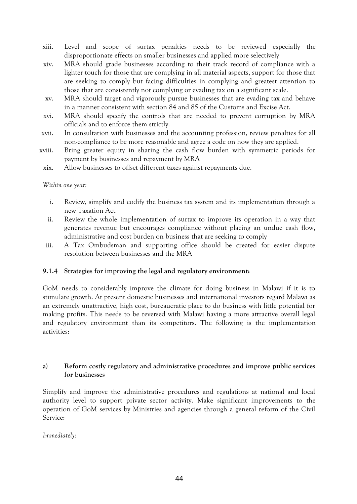- xiii. Level and scope of surtax penalties needs to be reviewed especially the disproportionate effects on smaller businesses and applied more selectively
- xiv. MRA should grade businesses according to their track record of compliance with a lighter touch for those that are complying in all material aspects, support for those that are seeking to comply but facing difficulties in complying and greatest attention to those that are consistently not complying or evading tax on a significant scale.
- xv. MRA should target and vigorously pursue businesses that are evading tax and behave in a manner consistent with section 84 and 85 of the Customs and Excise Act.
- xvi. MRA should specify the controls that are needed to prevent corruption by MRA officials and to enforce them strictly.
- xvii. In consultation with businesses and the accounting profession, review penalties for all non-compliance to be more reasonable and agree a code on how they are applied.
- xviii. Bring greater equity in sharing the cash flow burden with symmetric periods for payment by businesses and repayment by MRA
- xix. Allow businesses to offset different taxes against repayments due.

#### *Within one year:*

- i. Review, simplify and codify the business tax system and its implementation through a new Taxation Act
- ii. Review the whole implementation of surtax to improve its operation in a way that generates revenue but encourages compliance without placing an undue cash flow, administrative and cost burden on business that are seeking to comply
- iii. A Tax Ombudsman and supporting office should be created for easier dispute resolution between businesses and the MRA

#### <span id="page-44-0"></span>**9.1.4 Strategies for improving the legal and regulatory environment:**

GoM needs to considerably improve the climate for doing business in Malawi if it is to stimulate growth. At present domestic businesses and international investors regard Malawi as an extremely unattractive, high cost, bureaucratic place to do business with little potential for making profits. This needs to be reversed with Malawi having a more attractive overall legal and regulatory environment than its competitors. The following is the implementation activities:

### **a) Reform costly regulatory and administrative procedures and improve public services for businesses**

Simplify and improve the administrative procedures and regulations at national and local authority level to support private sector activity. Make significant improvements to the operation of GoM services by Ministries and agencies through a general reform of the Civil Service:

*Immediately:*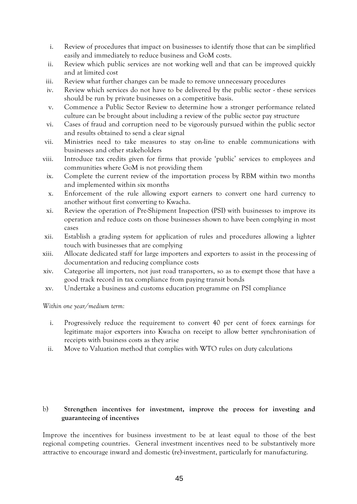- i. Review of procedures that impact on businesses to identify those that can be simplified easily and immediately to reduce business and GoM costs.
- ii. Review which public services are not working well and that can be improved quickly and at limited cost
- iii. Review what further changes can be made to remove unnecessary procedures
- iv. Review which services do not have to be delivered by the public sector these services should be run by private businesses on a competitive basis.
- v. Commence a Public Sector Review to determine how a stronger performance related culture can be brought about including a review of the public sector pay structure
- vi. Cases of fraud and corruption need to be vigorously pursued within the public sector and results obtained to send a clear signal
- vii. Ministries need to take measures to stay on-line to enable communications with businesses and other stakeholders
- viii. Introduce tax credits given for firms that provide 'public' services to employees and communities where GoM is not providing them
- ix. Complete the current review of the importation process by RBM within two months and implemented within six months
- x. Enforcement of the rule allowing export earners to convert one hard currency to another without first converting to Kwacha.
- xi. Review the operation of Pre-Shipment Inspection (PSI) with businesses to improve its operation and reduce costs on those businesses shown to have been complying in most cases
- xii. Establish a grading system for application of rules and procedures allowing a lighter touch with businesses that are complying
- xiii. Allocate dedicated staff for large importers and exporters to assist in the processing of documentation and reducing compliance costs
- xiv. Categorise all importers, not just road transporters, so as to exempt those that have a good track record in tax compliance from paying transit bonds
- xv. Undertake a business and customs education programme on PSI compliance

*Within one year/medium term:*

- i. Progressively reduce the requirement to convert 40 per cent of forex earnings for legitimate major exporters into Kwacha on receipt to allow better synchronisation of receipts with business costs as they arise
- ii. Move to Valuation method that complies with WTO rules on duty calculations

#### b) **Strengthen incentives for investment, improve the process for investing and guaranteeing of incentives**

Improve the incentives for business investment to be at least equal to those of the best regional competing countries. General investment incentives need to be substantively more attractive to encourage inward and domestic (re)-investment, particularly for manufacturing.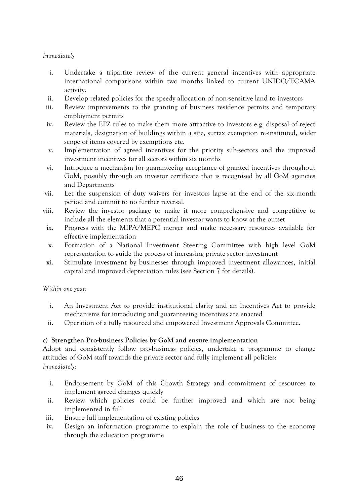#### *Immediately*

- i. Undertake a tripartite review of the current general incentives with appropriate international comparisons within two months linked to current UNIDO/ECAMA activity.
- ii. Develop related policies for the speedy allocation of non-sensitive land to investors
- iii. Review improvements to the granting of business residence permits and temporary employment permits
- iv. Review the EPZ rules to make them more attractive to investors e.g. disposal of reject materials, designation of buildings within a site, surtax exemption re-instituted, wider scope of items covered by exemptions etc.
- v. Implementation of agreed incentives for the priority sub-sectors and the improved investment incentives for all sectors within six months
- vi. Introduce a mechanism for guaranteeing acceptance of granted incentives throughout GoM, possibly through an investor certificate that is recognised by all GoM agencies and Departments
- vii. Let the suspension of duty waivers for investors lapse at the end of the six-month period and commit to no further reversal.
- viii. Review the investor package to make it more comprehensive and competitive to include all the elements that a potential investor wants to know at the outset
	- ix. Progress with the MIPA/MEPC merger and make necessary resources available for effective implementation
	- x. Formation of a National Investment Steering Committee with high level GoM representation to guide the process of increasing private sector investment
	- xi. Stimulate investment by businesses through improved investment allowances, initial capital and improved depreciation rules (see Section 7 for details).

#### *Within one year:*

- i. An Investment Act to provide institutional clarity and an Incentives Act to provide mechanisms for introducing and guaranteeing incentives are enacted
- ii. Operation of a fully resourced and empowered Investment Approvals Committee.

#### **c) Strengthen Pro-business Policies by GoM and ensure implementation**

Adopt and consistently follow pro-business policies, undertake a programme to change attitudes of GoM staff towards the private sector and fully implement all policies: *Immediately:*

- i. Endorsement by GoM of this Growth Strategy and commitment of resources to implement agreed changes quickly
- ii. Review which policies could be further improved and which are not being implemented in full
- iii. Ensure full implementation of existing policies
- iv. Design an information programme to explain the role of business to the economy through the education programme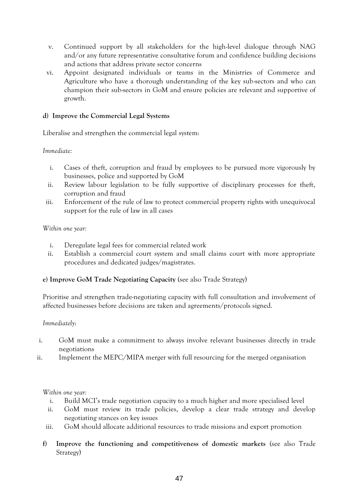- v. Continued support by all stakeholders for the high-level dialogue through NAG and/or any future representative consultative forum and confidence building decisions and actions that address private sector concerns
- vi. Appoint designated individuals or teams in the Ministries of Commerce and Agriculture who have a thorough understanding of the key sub-sectors and who can champion their sub-sectors in GoM and ensure policies are relevant and supportive of growth.

#### **d) Improve the Commercial Legal Systems**

Liberalise and strengthen the commercial legal system:

#### *Immediate:*

- i. Cases of theft, corruption and fraud by employees to be pursued more vigorously by businesses, police and supported by GoM
- ii. Review labour legislation to be fully supportive of disciplinary processes for theft, corruption and fraud
- iii. Enforcement of the rule of law to protect commercial property rights with unequivocal support for the rule of law in all cases

#### *Within one year:*

- i. Deregulate legal fees for commercial related work
- ii. Establish a commercial court system and small claims court with more appropriate procedures and dedicated judges/magistrates.

#### **e) Improve GoM Trade Negotiating Capacity** (see also Trade Strategy)

Prioritise and strengthen trade-negotiating capacity with full consultation and involvement of affected businesses before decisions are taken and agreements/protocols signed.

#### *Immediately*:

- i. GoM must make a commitment to always involve relevant businesses directly in trade negotiations
- ii. Implement the MEPC/MIPA merger with full resourcing for the merged organisation

#### *Within one year:*

- i. Build MCI's trade negotiation capacity to a much higher and more specialised level
- ii. GoM must review its trade policies, develop a clear trade strategy and develop negotiating stances on key issues
- iii. GoM should allocate additional resources to trade missions and export promotion
- **f) Improve the functioning and competitiveness of domestic markets** (see also Trade Strategy)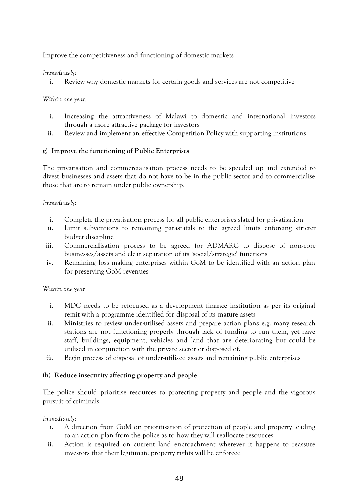Improve the competitiveness and functioning of domestic markets

### *Immediately*:

i. Review why domestic markets for certain goods and services are not competitive

### *Within one year:*

- i. Increasing the attractiveness of Malawi to domestic and international investors through a more attractive package for investors
- ii. Review and implement an effective Competition Policy with supporting institutions

### **g) Improve the functioning of Public Enterprises**

The privatisation and commercialisation process needs to be speeded up and extended to divest businesses and assets that do not have to be in the public sector and to commercialise those that are to remain under public ownership:

#### *Immediately:*

- i. Complete the privatisation process for all public enterprises slated for privatisation
- ii. Limit subventions to remaining parastatals to the agreed limits enforcing stricter budget discipline
- iii. Commercialisation process to be agreed for ADMARC to dispose of non-core businesses/assets and clear separation of its 'social/strategic' functions
- iv. Remaining loss making enterprises within GoM to be identified with an action plan for preserving GoM revenues

#### *Within one year*

- i. MDC needs to be refocused as a development finance institution as per its original remit with a programme identified for disposal of its mature assets
- ii. Ministries to review under-utilised assets and prepare action plans e.g. many research stations are not functioning properly through lack of funding to run them, yet have staff, buildings, equipment, vehicles and land that are deteriorating but could be utilised in conjunction with the private sector or disposed of.
- *iii.* Begin process of disposal of under-utilised assets and remaining public enterprises

#### **(h) Reduce insecurity affecting property and people**

The police should prioritise resources to protecting property and people and the vigorous pursuit of criminals

#### *Immediately:*

- i. A direction from GoM on prioritisation of protection of people and property leading to an action plan from the police as to how they will reallocate resources
- ii. Action is required on current land encroachment wherever it happens to reassure investors that their legitimate property rights will be enforced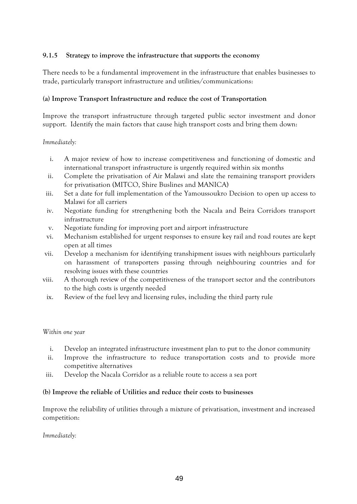#### <span id="page-49-0"></span>**9.1.5 Strategy to improve the infrastructure that supports the economy**

There needs to be a fundamental improvement in the infrastructure that enables businesses to trade, particularly transport infrastructure and utilities/communications:

#### **(a) Improve Transport Infrastructure and reduce the cost of Transportation**

Improve the transport infrastructure through targeted public sector investment and donor support. Identify the main factors that cause high transport costs and bring them down:

*Immediately:*

- i. A major review of how to increase competitiveness and functioning of domestic and international transport infrastructure is urgently required within six months
- ii. Complete the privatisation of Air Malawi and slate the remaining transport providers for privatisation (MITCO, Shire Buslines and MANICA)
- iii. Set a date for full implementation of the Yamoussoukro Decision to open up access to Malawi for all carriers
- iv. Negotiate funding for strengthening both the Nacala and Beira Corridors transport infrastructure
- v. Negotiate funding for improving port and airport infrastructure
- vi. Mechanism established for urgent responses to ensure key rail and road routes are kept open at all times
- vii. Develop a mechanism for identifying transhipment issues with neighbours particularly on harassment of transporters passing through neighbouring countries and for resolving issues with these countries
- viii. A thorough review of the competitiveness of the transport sector and the contributors to the high costs is urgently needed
	- ix. Review of the fuel levy and licensing rules, including the third party rule

#### *Within one year*

- i. Develop an integrated infrastructure investment plan to put to the donor community
- ii. Improve the infrastructure to reduce transportation costs and to provide more competitive alternatives
- iii. Develop the Nacala Corridor as a reliable route to access a sea port

#### **(b) Improve the reliable of Utilities and reduce their costs to businesses**

Improve the reliability of utilities through a mixture of privatisation, investment and increased competition:

*Immediately:*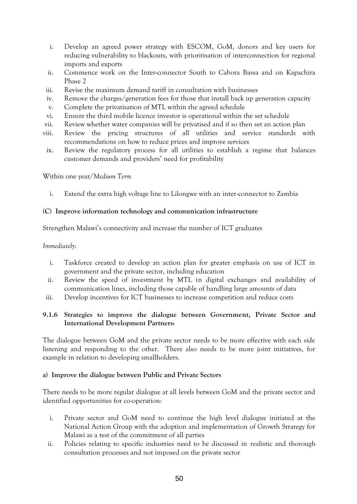- i. Develop an agreed power strategy with ESCOM, GoM, donors and key users for reducing vulnerability to blackouts, with prioritisation of interconnection for regional imports and exports
- ii. Commence work on the Inter-connector South to Cabora Bassa and on Kapachira Phase 2
- iii. Revise the maximum demand tariff in consultation with businesses
- iv. Remove the charges/generation fees for those that install back up generation capacity
- v. Complete the privatisation of MTL within the agreed schedule
- vi. Ensure the third mobile licence investor is operational within the set schedule
- vii. Review whether water companies will be privatised and if so then set an action plan
- viii. Review the pricing structures of all utilities and service standards with recommendations on how to reduce prices and improve services
- ix. Review the regulatory process for all utilities to establish a regime that balances customer demands and providers' need for profitability

Within one year/*Medium Term*

i. Extend the extra high voltage line to Lilongwe with an inter-connector to Zambia

#### **(C) Improve information technology and communication infrastructure**

Strengthen Malawi's connectivity and increase the number of ICT graduates

*Immediately:*

- i. Taskforce created to develop an action plan for greater emphasis on use of ICT in government and the private sector, including education
- ii. Review the speed of investment by MTL in digital exchanges and availability of communication lines, including those capable of handling large amounts of data
- iii. Develop incentives for ICT businesses to increase competition and reduce costs

#### <span id="page-50-0"></span>**9.1.6 Strategies to improve the dialogue between Government, Private Sector and International Development Partners:**

The dialogue between GoM and the private sector needs to be more effective with each side listening and responding to the other. There also needs to be more joint initiatives, for example in relation to developing smallholders.

#### **a) Improve the dialogue between Public and Private Sectors**

There needs to be more regular dialogue at all levels between GoM and the private sector and identified opportunities for co-operation:

- i. Private sector and GoM need to continue the high level dialogue initiated at the National Action Group with the adoption and implementation of Growth Strategy for Malawi as a test of the commitment of all parties
- ii. Policies relating to specific industries need to be discussed in realistic and thorough consultation processes and not imposed on the private sector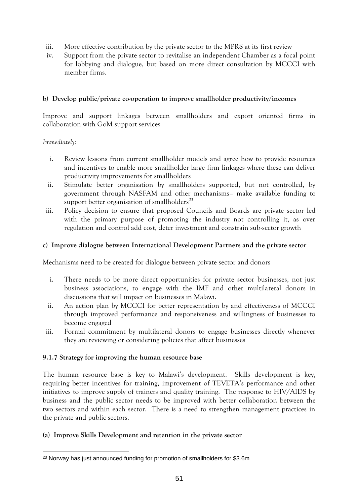- iii. More effective contribution by the private sector to the MPRS at its first review
- iv. Support from the private sector to revitalise an independent Chamber as a focal point for lobbying and dialogue, but based on more direct consultation by MCCCI with member firms.

#### **b) Develop public/private co-operation to improve smallholder productivity/incomes**

Improve and support linkages between smallholders and export oriented firms in collaboration with GoM support services

*Immediately:*

- i. Review lessons from current smallholder models and agree how to provide resources and incentives to enable more smallholder large firm linkages where these can deliver productivity improvements for smallholders
- ii. Stimulate better organisation by smallholders supported, but not controlled, by government through NASFAM and other mechanisms– make available funding to support better organisation of smallholders $^{23}$
- iii. Policy decision to ensure that proposed Councils and Boards are private sector led with the primary purpose of promoting the industry not controlling it, as over regulation and control add cost, deter investment and constrain sub-sector growth

#### **c) Improve dialogue between International Development Partners and the private sector**

Mechanisms need to be created for dialogue between private sector and donors

- i. There needs to be more direct opportunities for private sector businesses, not just business associations, to engage with the IMF and other multilateral donors in discussions that will impact on businesses in Malawi.
- ii. An action plan by MCCCI for better representation by and effectiveness of MCCCI through improved performance and responsiveness and willingness of businesses to become engaged
- iii. Formal commitment by multilateral donors to engage businesses directly whenever they are reviewing or considering policies that affect businesses

#### <span id="page-51-0"></span>**9.1.7 Strategy for improving the human resource base**

The human resource base is key to Malawi's development. Skills development is key, requiring better incentives for training, improvement of TEVETA's performance and other initiatives to improve supply of trainers and quality training. The response to HIV/AIDS by business and the public sector needs to be improved with better collaboration between the two sectors and within each sector. There is a need to strengthen management practices in the private and public sectors.

#### **(a) Improve Skills Development and retention in the private sector**

<sup>-</sup><sup>23</sup> Norway has just announced funding for promotion of smallholders for \$3.6m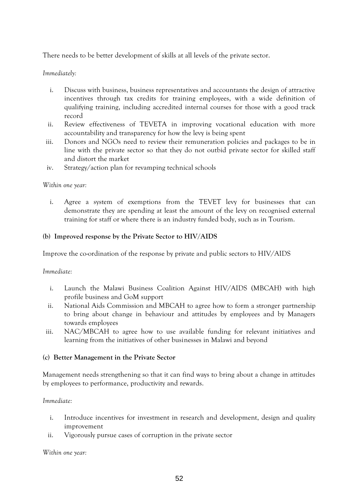There needs to be better development of skills at all levels of the private sector.

### *Immediately:*

- i. Discuss with business, business representatives and accountants the design of attractive incentives through tax credits for training employees, with a wide definition of qualifying training, including accredited internal courses for those with a good track record
- ii. Review effectiveness of TEVETA in improving vocational education with more accountability and transparency for how the levy is being spent
- iii. Donors and NGOs need to review their remuneration policies and packages to be in line with the private sector so that they do not outbid private sector for skilled staff and distort the market
- iv. Strategy/action plan for revamping technical schools

#### *Within one year:*

i. Agree a system of exemptions from the TEVET levy for businesses that can demonstrate they are spending at least the amount of the levy on recognised external training for staff or where there is an industry funded body, such as in Tourism.

#### **(b) Improved response by the Private Sector to HIV/AIDS**

Improve the co-ordination of the response by private and public sectors to HIV/AIDS

#### *Immediate:*

- i. Launch the Malawi Business Coalition Against HIV/AIDS (MBCAH) with high profile business and GoM support
- ii. National Aids Commission and MBCAH to agree how to form a stronger partnership to bring about change in behaviour and attitudes by employees and by Managers towards employees
- iii. NAC/MBCAH to agree how to use available funding for relevant initiatives and learning from the initiatives of other businesses in Malawi and beyond

#### **(c) Better Management in the Private Sector**

Management needs strengthening so that it can find ways to bring about a change in attitudes by employees to performance, productivity and rewards.

#### *Immediate:*

- i. Introduce incentives for investment in research and development, design and quality improvement
- ii. Vigorously pursue cases of corruption in the private sector

#### *Within one year:*